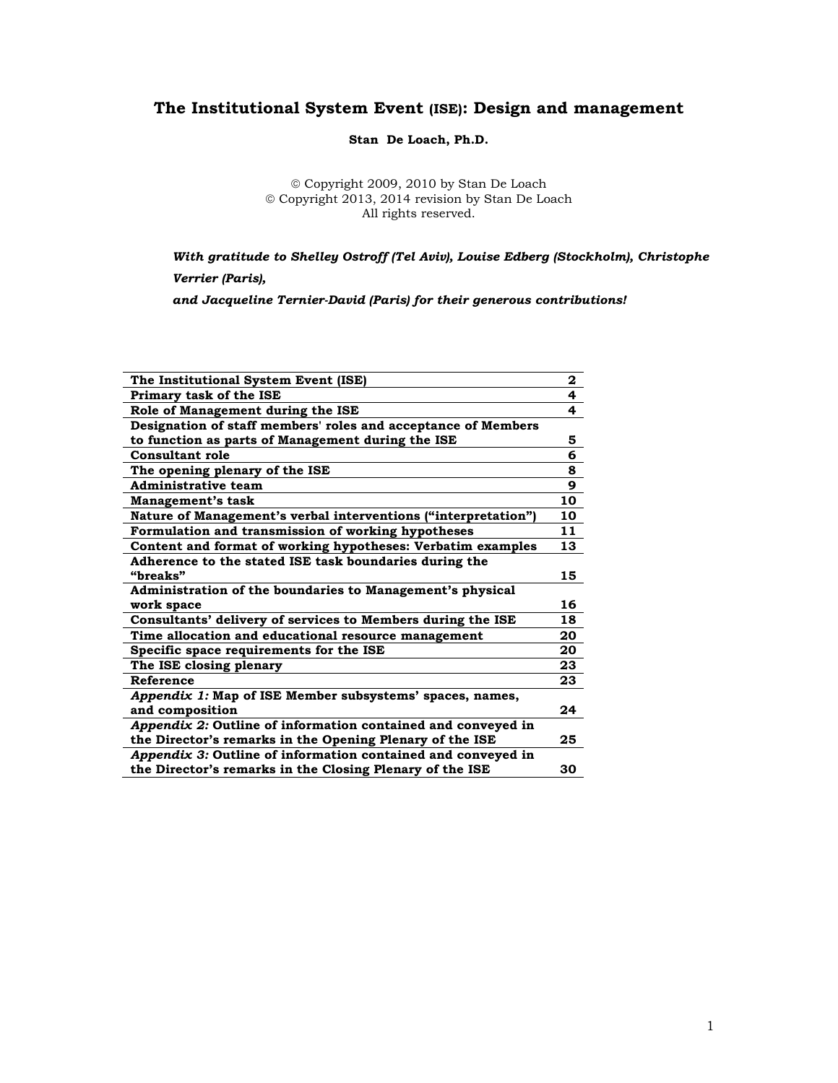# **The Institutional System Event (ISE): Design and management**

**Stan De Loach, Ph.D.**

© Copyright 2009, 2010 by Stan De Loach © Copyright 2013, 2014 revision by Stan De Loach All rights reserved.

*With gratitude to Shelley Ostroff (Tel Aviv), Louise Edberg (Stockholm), Christophe* 

*Verrier (Paris),*

*and Jacqueline Ternier-David (Paris) for their generous contributions!*

| The Institutional System Event (ISE)                           | 2  |
|----------------------------------------------------------------|----|
| Primary task of the ISE                                        | 4  |
| Role of Management during the ISE                              | 4  |
| Designation of staff members' roles and acceptance of Members  |    |
| to function as parts of Management during the ISE              | 5  |
| <b>Consultant role</b>                                         | 6  |
| The opening plenary of the ISE                                 | 8  |
| Administrative team                                            | 9  |
| Management's task                                              | 10 |
| Nature of Management's verbal interventions ("interpretation") | 10 |
| Formulation and transmission of working hypotheses             | 11 |
| Content and format of working hypotheses: Verbatim examples    | 13 |
| Adherence to the stated ISE task boundaries during the         |    |
| "breaks"                                                       | 15 |
| Administration of the boundaries to Management's physical      |    |
| work space                                                     | 16 |
| Consultants' delivery of services to Members during the ISE    | 18 |
| Time allocation and educational resource management            | 20 |
| Specific space requirements for the ISE                        | 20 |
| The ISE closing plenary                                        | 23 |
| Reference                                                      | 23 |
| Appendix 1: Map of ISE Member subsystems' spaces, names,       |    |
| and composition                                                | 24 |
| Appendix 2: Outline of information contained and conveyed in   |    |
| the Director's remarks in the Opening Plenary of the ISE       | 25 |
| Appendix 3: Outline of information contained and conveyed in   |    |
| the Director's remarks in the Closing Plenary of the ISE       | 30 |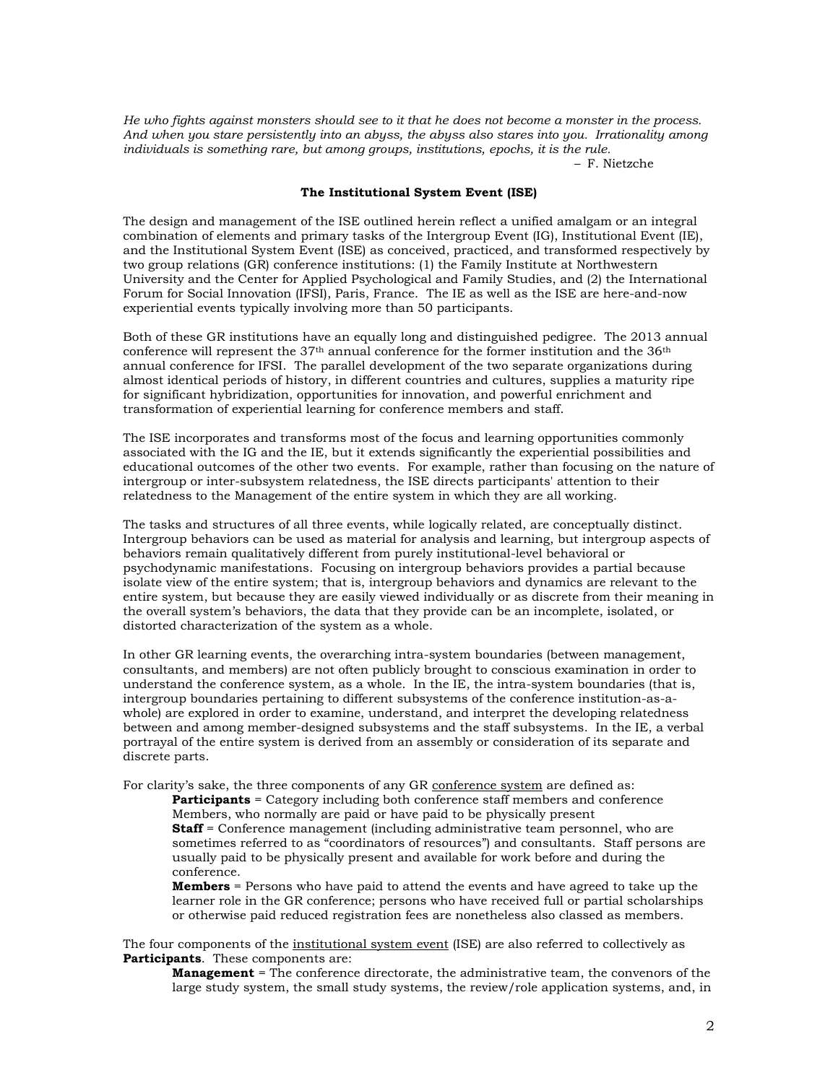*He who fights against monsters should see to it that he does not become a monster in the process. And when you stare persistently into an abyss, the abyss also stares into you. Irrationality among individuals is something rare, but among groups, institutions, epochs, it is the rule. –* F. Nietzche

#### **The Institutional System Event (ISE)**

The design and management of the ISE outlined herein reflect a unified amalgam or an integral combination of elements and primary tasks of the Intergroup Event (IG), Institutional Event (IE), and the Institutional System Event (ISE) as conceived, practiced, and transformed respectively by two group relations (GR) conference institutions: (1) the Family Institute at Northwestern University and the Center for Applied Psychological and Family Studies, and (2) the International Forum for Social Innovation (IFSI), Paris, France. The IE as well as the ISE are here-and-now experiential events typically involving more than 50 participants.

Both of these GR institutions have an equally long and distinguished pedigree. The 2013 annual conference will represent the  $37<sup>th</sup>$  annual conference for the former institution and the  $36<sup>th</sup>$ annual conference for IFSI. The parallel development of the two separate organizations during almost identical periods of history, in different countries and cultures, supplies a maturity ripe for significant hybridization, opportunities for innovation, and powerful enrichment and transformation of experiential learning for conference members and staff.

The ISE incorporates and transforms most of the focus and learning opportunities commonly associated with the IG and the IE, but it extends significantly the experiential possibilities and educational outcomes of the other two events. For example, rather than focusing on the nature of intergroup or inter-subsystem relatedness, the ISE directs participants' attention to their relatedness to the Management of the entire system in which they are all working.

The tasks and structures of all three events, while logically related, are conceptually distinct. Intergroup behaviors can be used as material for analysis and learning, but intergroup aspects of behaviors remain qualitatively different from purely institutional-level behavioral or psychodynamic manifestations. Focusing on intergroup behaviors provides a partial because isolate view of the entire system; that is, intergroup behaviors and dynamics are relevant to the entire system, but because they are easily viewed individually or as discrete from their meaning in the overall system's behaviors, the data that they provide can be an incomplete, isolated, or distorted characterization of the system as a whole.

In other GR learning events, the overarching intra-system boundaries (between management, consultants, and members) are not often publicly brought to conscious examination in order to understand the conference system, as a whole. In the IE, the intra-system boundaries (that is, intergroup boundaries pertaining to different subsystems of the conference institution-as-awhole) are explored in order to examine, understand, and interpret the developing relatedness between and among member-designed subsystems and the staff subsystems. In the IE, a verbal portrayal of the entire system is derived from an assembly or consideration of its separate and discrete parts.

For clarity's sake, the three components of any GR conference system are defined as:

**Participants** = Category including both conference staff members and conference Members, who normally are paid or have paid to be physically present **Staff** = Conference management (including administrative team personnel, who are sometimes referred to as "coordinators of resources") and consultants. Staff persons are usually paid to be physically present and available for work before and during the conference.

**Members** = Persons who have paid to attend the events and have agreed to take up the learner role in the GR conference; persons who have received full or partial scholarships or otherwise paid reduced registration fees are nonetheless also classed as members.

The four components of the institutional system event (ISE) are also referred to collectively as **Participants**. These components are:

**Management** = The conference directorate, the administrative team, the convenors of the large study system, the small study systems, the review/role application systems, and, in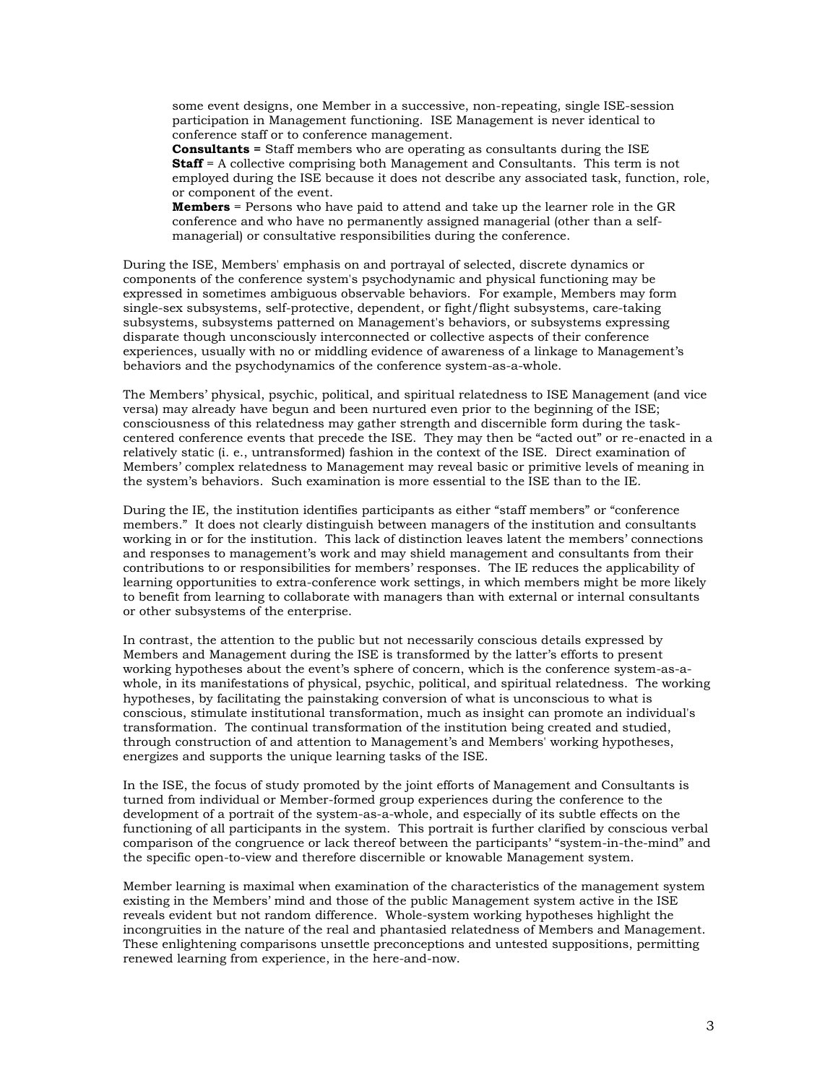some event designs, one Member in a successive, non-repeating, single ISE-session participation in Management functioning. ISE Management is never identical to conference staff or to conference management.

**Consultants =** Staff members who are operating as consultants during the ISE **Staff** = A collective comprising both Management and Consultants. This term is not employed during the ISE because it does not describe any associated task, function, role, or component of the event.

**Members** = Persons who have paid to attend and take up the learner role in the GR conference and who have no permanently assigned managerial (other than a selfmanagerial) or consultative responsibilities during the conference.

During the ISE, Members' emphasis on and portrayal of selected, discrete dynamics or components of the conference system's psychodynamic and physical functioning may be expressed in sometimes ambiguous observable behaviors. For example, Members may form single-sex subsystems, self-protective, dependent, or fight/flight subsystems, care-taking subsystems, subsystems patterned on Management's behaviors, or subsystems expressing disparate though unconsciously interconnected or collective aspects of their conference experiences, usually with no or middling evidence of awareness of a linkage to Management's behaviors and the psychodynamics of the conference system-as-a-whole.

The Members' physical, psychic, political, and spiritual relatedness to ISE Management (and vice versa) may already have begun and been nurtured even prior to the beginning of the ISE; consciousness of this relatedness may gather strength and discernible form during the taskcentered conference events that precede the ISE. They may then be "acted out" or re-enacted in a relatively static (i. e., untransformed) fashion in the context of the ISE. Direct examination of Members' complex relatedness to Management may reveal basic or primitive levels of meaning in the system's behaviors. Such examination is more essential to the ISE than to the IE.

During the IE, the institution identifies participants as either "staff members" or "conference members." It does not clearly distinguish between managers of the institution and consultants working in or for the institution. This lack of distinction leaves latent the members' connections and responses to management's work and may shield management and consultants from their contributions to or responsibilities for members' responses. The IE reduces the applicability of learning opportunities to extra-conference work settings, in which members might be more likely to benefit from learning to collaborate with managers than with external or internal consultants or other subsystems of the enterprise.

In contrast, the attention to the public but not necessarily conscious details expressed by Members and Management during the ISE is transformed by the latter's efforts to present working hypotheses about the event's sphere of concern, which is the conference system-as-awhole, in its manifestations of physical, psychic, political, and spiritual relatedness. The working hypotheses, by facilitating the painstaking conversion of what is unconscious to what is conscious, stimulate institutional transformation, much as insight can promote an individual's transformation. The continual transformation of the institution being created and studied, through construction of and attention to Management's and Members' working hypotheses, energizes and supports the unique learning tasks of the ISE.

In the ISE, the focus of study promoted by the joint efforts of Management and Consultants is turned from individual or Member-formed group experiences during the conference to the development of a portrait of the system-as-a-whole, and especially of its subtle effects on the functioning of all participants in the system. This portrait is further clarified by conscious verbal comparison of the congruence or lack thereof between the participants' "system-in-the-mind" and the specific open-to-view and therefore discernible or knowable Management system.

Member learning is maximal when examination of the characteristics of the management system existing in the Members' mind and those of the public Management system active in the ISE reveals evident but not random difference. Whole-system working hypotheses highlight the incongruities in the nature of the real and phantasied relatedness of Members and Management. These enlightening comparisons unsettle preconceptions and untested suppositions, permitting renewed learning from experience, in the here-and-now.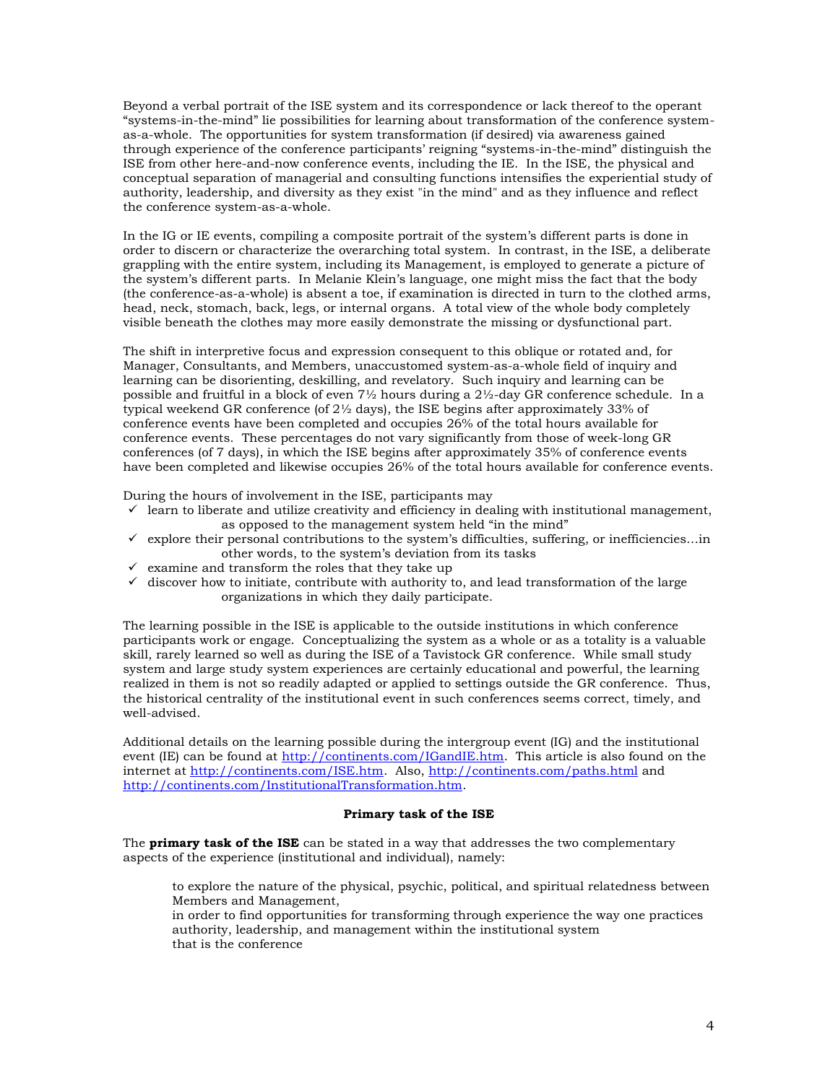Beyond a verbal portrait of the ISE system and its correspondence or lack thereof to the operant "systems-in-the-mind" lie possibilities for learning about transformation of the conference systemas-a-whole. The opportunities for system transformation (if desired) via awareness gained through experience of the conference participants' reigning "systems-in-the-mind" distinguish the ISE from other here-and-now conference events, including the IE. In the ISE, the physical and conceptual separation of managerial and consulting functions intensifies the experiential study of authority, leadership, and diversity as they exist "in the mind" and as they influence and reflect the conference system-as-a-whole.

In the IG or IE events, compiling a composite portrait of the system's different parts is done in order to discern or characterize the overarching total system. In contrast, in the ISE, a deliberate grappling with the entire system, including its Management, is employed to generate a picture of the system's different parts. In Melanie Klein's language, one might miss the fact that the body (the conference-as-a-whole) is absent a toe, if examination is directed in turn to the clothed arms, head, neck, stomach, back, legs, or internal organs. A total view of the whole body completely visible beneath the clothes may more easily demonstrate the missing or dysfunctional part.

The shift in interpretive focus and expression consequent to this oblique or rotated and, for Manager, Consultants, and Members, unaccustomed system-as-a-whole field of inquiry and learning can be disorienting, deskilling, and revelatory. Such inquiry and learning can be possible and fruitful in a block of even  $7\frac{1}{2}$  hours during a  $2\frac{1}{2}$ -day GR conference schedule. In a typical weekend GR conference (of  $2\frac{1}{2}$  days), the ISE begins after approximately 33% of conference events have been completed and occupies 26% of the total hours available for conference events. These percentages do not vary significantly from those of week-long GR conferences (of 7 days), in which the ISE begins after approximately 35% of conference events have been completed and likewise occupies 26% of the total hours available for conference events.

During the hours of involvement in the ISE, participants may

- $\checkmark$  learn to liberate and utilize creativity and efficiency in dealing with institutional management, as opposed to the management system held "in the mind"
- $\checkmark$  explore their personal contributions to the system's difficulties, suffering, or inefficiencies... in other words, to the system's deviation from its tasks
- $\checkmark$  examine and transform the roles that they take up
- $\checkmark$  discover how to initiate, contribute with authority to, and lead transformation of the large organizations in which they daily participate.

The learning possible in the ISE is applicable to the outside institutions in which conference participants work or engage. Conceptualizing the system as a whole or as a totality is a valuable skill, rarely learned so well as during the ISE of a Tavistock GR conference. While small study system and large study system experiences are certainly educational and powerful, the learning realized in them is not so readily adapted or applied to settings outside the GR conference. Thus, the historical centrality of the institutional event in such conferences seems correct, timely, and well-advised.

Additional details on the learning possible during the intergroup event (IG) and the institutional event (IE) can be found at [http://continents.com/IGandIE.htm.](http://www.continents.com/IGandIE.htm) This article is also found on the internet at [http://continents.com/ISE.htm.](http://www.continents.com/ISE.htm) Also,<http://continents.com/paths.html> and [http://continents.com/InstitutionalTransformation.htm.](http://continents.com/InstitutionalTransformation.htm)

#### **Primary task of the ISE**

The **primary task of the ISE** can be stated in a way that addresses the two complementary aspects of the experience (institutional and individual), namely:

to explore the nature of the physical, psychic, political, and spiritual relatedness between Members and Management,

in order to find opportunities for transforming through experience the way one practices authority, leadership, and management within the institutional system that is the conference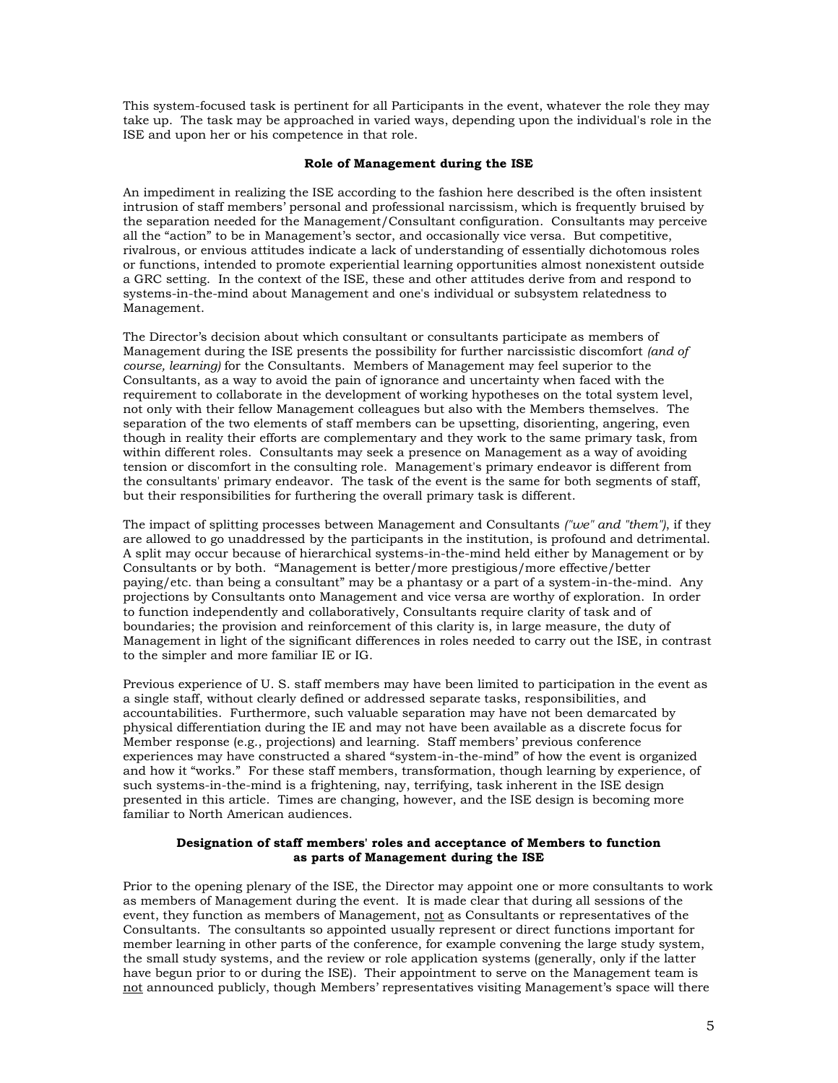This system-focused task is pertinent for all Participants in the event, whatever the role they may take up. The task may be approached in varied ways, depending upon the individual's role in the ISE and upon her or his competence in that role.

### **Role of Management during the ISE**

An impediment in realizing the ISE according to the fashion here described is the often insistent intrusion of staff members' personal and professional narcissism, which is frequently bruised by the separation needed for the Management/Consultant configuration. Consultants may perceive all the "action" to be in Management's sector, and occasionally vice versa. But competitive, rivalrous, or envious attitudes indicate a lack of understanding of essentially dichotomous roles or functions, intended to promote experiential learning opportunities almost nonexistent outside a GRC setting. In the context of the ISE, these and other attitudes derive from and respond to systems-in-the-mind about Management and one's individual or subsystem relatedness to Management.

The Director's decision about which consultant or consultants participate as members of Management during the ISE presents the possibility for further narcissistic discomfort *(and of course, learning)* for the Consultants. Members of Management may feel superior to the Consultants, as a way to avoid the pain of ignorance and uncertainty when faced with the requirement to collaborate in the development of working hypotheses on the total system level, not only with their fellow Management colleagues but also with the Members themselves. The separation of the two elements of staff members can be upsetting, disorienting, angering, even though in reality their efforts are complementary and they work to the same primary task, from within different roles. Consultants may seek a presence on Management as a way of avoiding tension or discomfort in the consulting role. Management's primary endeavor is different from the consultants' primary endeavor. The task of the event is the same for both segments of staff, but their responsibilities for furthering the overall primary task is different.

The impact of splitting processes between Management and Consultants *("we" and "them")*, if they are allowed to go unaddressed by the participants in the institution, is profound and detrimental. A split may occur because of hierarchical systems-in-the-mind held either by Management or by Consultants or by both. "Management is better/more prestigious/more effective/better paying/etc. than being a consultant" may be a phantasy or a part of a system-in-the-mind. Any projections by Consultants onto Management and vice versa are worthy of exploration. In order to function independently and collaboratively, Consultants require clarity of task and of boundaries; the provision and reinforcement of this clarity is, in large measure, the duty of Management in light of the significant differences in roles needed to carry out the ISE, in contrast to the simpler and more familiar IE or IG.

Previous experience of U. S. staff members may have been limited to participation in the event as a single staff, without clearly defined or addressed separate tasks, responsibilities, and accountabilities. Furthermore, such valuable separation may have not been demarcated by physical differentiation during the IE and may not have been available as a discrete focus for Member response (e.g., projections) and learning. Staff members' previous conference experiences may have constructed a shared "system-in-the-mind" of how the event is organized and how it "works." For these staff members, transformation, though learning by experience, of such systems-in-the-mind is a frightening, nay, terrifying, task inherent in the ISE design presented in this article. Times are changing, however, and the ISE design is becoming more familiar to North American audiences.

#### **Designation of staff members' roles and acceptance of Members to function as parts of Management during the ISE**

Prior to the opening plenary of the ISE, the Director may appoint one or more consultants to work as members of Management during the event. It is made clear that during all sessions of the event, they function as members of Management, not as Consultants or representatives of the Consultants. The consultants so appointed usually represent or direct functions important for member learning in other parts of the conference, for example convening the large study system, the small study systems, and the review or role application systems (generally, only if the latter have begun prior to or during the ISE). Their appointment to serve on the Management team is not announced publicly, though Members' representatives visiting Management's space will there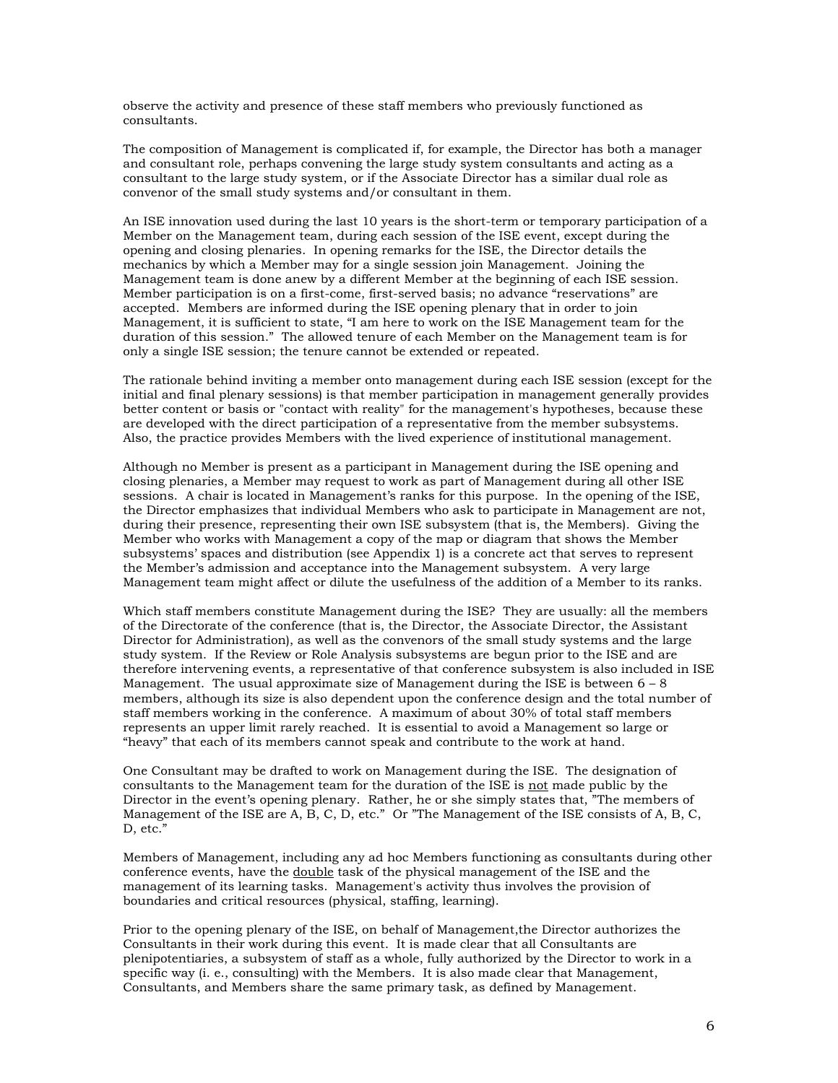observe the activity and presence of these staff members who previously functioned as consultants.

The composition of Management is complicated if, for example, the Director has both a manager and consultant role, perhaps convening the large study system consultants and acting as a consultant to the large study system, or if the Associate Director has a similar dual role as convenor of the small study systems and/or consultant in them.

An ISE innovation used during the last 10 years is the short-term or temporary participation of a Member on the Management team, during each session of the ISE event, except during the opening and closing plenaries. In opening remarks for the ISE, the Director details the mechanics by which a Member may for a single session join Management. Joining the Management team is done anew by a different Member at the beginning of each ISE session. Member participation is on a first-come, first-served basis; no advance "reservations" are accepted. Members are informed during the ISE opening plenary that in order to join Management, it is sufficient to state, "I am here to work on the ISE Management team for the duration of this session." The allowed tenure of each Member on the Management team is for only a single ISE session; the tenure cannot be extended or repeated.

The rationale behind inviting a member onto management during each ISE session (except for the initial and final plenary sessions) is that member participation in management generally provides better content or basis or "contact with reality" for the management's hypotheses, because these are developed with the direct participation of a representative from the member subsystems. Also, the practice provides Members with the lived experience of institutional management.

Although no Member is present as a participant in Management during the ISE opening and closing plenaries, a Member may request to work as part of Management during all other ISE sessions. A chair is located in Management's ranks for this purpose. In the opening of the ISE, the Director emphasizes that individual Members who ask to participate in Management are not, during their presence, representing their own ISE subsystem (that is, the Members). Giving the Member who works with Management a copy of the map or diagram that shows the Member subsystems' spaces and distribution (see Appendix 1) is a concrete act that serves to represent the Member's admission and acceptance into the Management subsystem. A very large Management team might affect or dilute the usefulness of the addition of a Member to its ranks.

Which staff members constitute Management during the ISE? They are usually: all the members of the Directorate of the conference (that is, the Director, the Associate Director, the Assistant Director for Administration), as well as the convenors of the small study systems and the large study system. If the Review or Role Analysis subsystems are begun prior to the ISE and are therefore intervening events, a representative of that conference subsystem is also included in ISE Management. The usual approximate size of Management during the ISE is between  $6 - 8$ members, although its size is also dependent upon the conference design and the total number of staff members working in the conference. A maximum of about 30% of total staff members represents an upper limit rarely reached. It is essential to avoid a Management so large or "heavy" that each of its members cannot speak and contribute to the work at hand.

One Consultant may be drafted to work on Management during the ISE. The designation of consultants to the Management team for the duration of the ISE is not made public by the Director in the event's opening plenary. Rather, he or she simply states that, "The members of Management of the ISE are A, B, C, D, etc." Or "The Management of the ISE consists of A, B, C, D, etc."

Members of Management, including any ad hoc Members functioning as consultants during other conference events, have the double task of the physical management of the ISE and the management of its learning tasks. Management's activity thus involves the provision of boundaries and critical resources (physical, staffing, learning).

Prior to the opening plenary of the ISE, on behalf of Management,the Director authorizes the Consultants in their work during this event. It is made clear that all Consultants are plenipotentiaries, a subsystem of staff as a whole, fully authorized by the Director to work in a specific way (i. e., consulting) with the Members. It is also made clear that Management, Consultants, and Members share the same primary task, as defined by Management.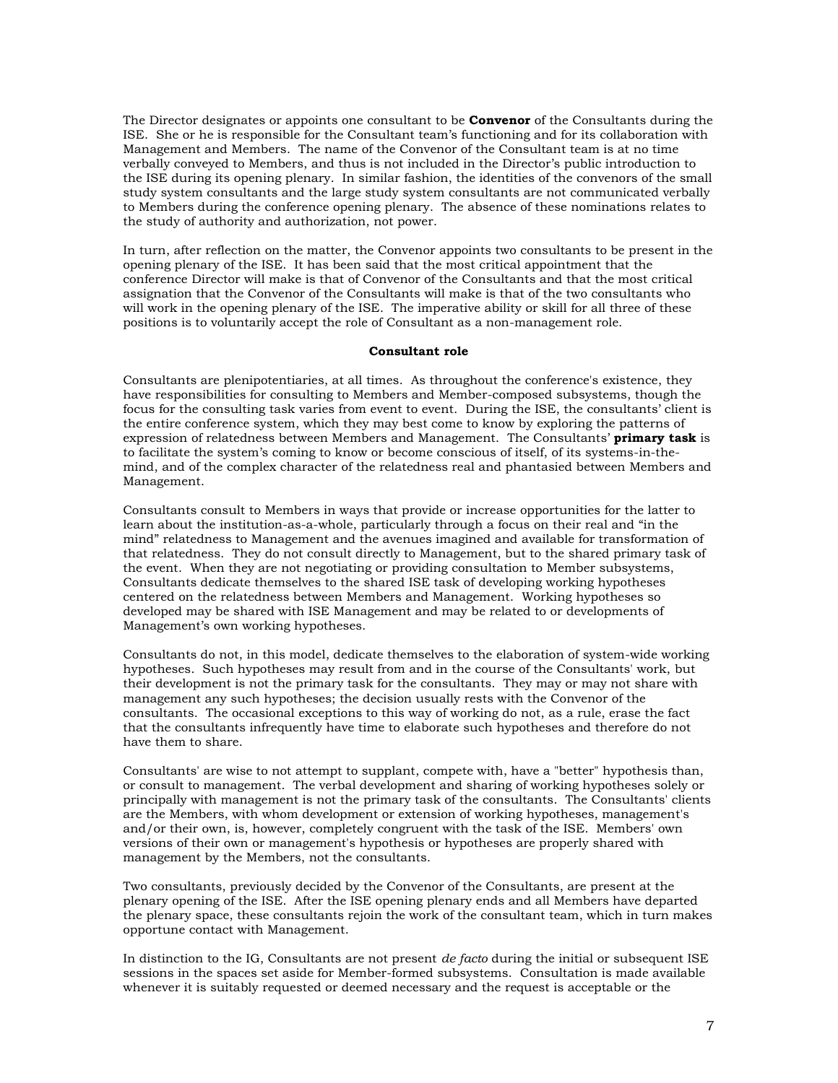The Director designates or appoints one consultant to be **Convenor** of the Consultants during the ISE. She or he is responsible for the Consultant team's functioning and for its collaboration with Management and Members. The name of the Convenor of the Consultant team is at no time verbally conveyed to Members, and thus is not included in the Director's public introduction to the ISE during its opening plenary. In similar fashion, the identities of the convenors of the small study system consultants and the large study system consultants are not communicated verbally to Members during the conference opening plenary. The absence of these nominations relates to the study of authority and authorization, not power.

In turn, after reflection on the matter, the Convenor appoints two consultants to be present in the opening plenary of the ISE. It has been said that the most critical appointment that the conference Director will make is that of Convenor of the Consultants and that the most critical assignation that the Convenor of the Consultants will make is that of the two consultants who will work in the opening plenary of the ISE. The imperative ability or skill for all three of these positions is to voluntarily accept the role of Consultant as a non-management role.

#### **Consultant role**

Consultants are plenipotentiaries, at all times. As throughout the conference's existence, they have responsibilities for consulting to Members and Member-composed subsystems, though the focus for the consulting task varies from event to event. During the ISE, the consultants' client is the entire conference system, which they may best come to know by exploring the patterns of expression of relatedness between Members and Management. The Consultants' **primary task** is to facilitate the system's coming to know or become conscious of itself, of its systems-in-themind, and of the complex character of the relatedness real and phantasied between Members and Management.

Consultants consult to Members in ways that provide or increase opportunities for the latter to learn about the institution-as-a-whole, particularly through a focus on their real and "in the mind" relatedness to Management and the avenues imagined and available for transformation of that relatedness. They do not consult directly to Management, but to the shared primary task of the event. When they are not negotiating or providing consultation to Member subsystems, Consultants dedicate themselves to the shared ISE task of developing working hypotheses centered on the relatedness between Members and Management. Working hypotheses so developed may be shared with ISE Management and may be related to or developments of Management's own working hypotheses.

Consultants do not, in this model, dedicate themselves to the elaboration of system-wide working hypotheses. Such hypotheses may result from and in the course of the Consultants' work, but their development is not the primary task for the consultants. They may or may not share with management any such hypotheses; the decision usually rests with the Convenor of the consultants. The occasional exceptions to this way of working do not, as a rule, erase the fact that the consultants infrequently have time to elaborate such hypotheses and therefore do not have them to share.

Consultants' are wise to not attempt to supplant, compete with, have a "better" hypothesis than, or consult to management. The verbal development and sharing of working hypotheses solely or principally with management is not the primary task of the consultants. The Consultants' clients are the Members, with whom development or extension of working hypotheses, management's and/or their own, is, however, completely congruent with the task of the ISE. Members' own versions of their own or management's hypothesis or hypotheses are properly shared with management by the Members, not the consultants.

Two consultants, previously decided by the Convenor of the Consultants, are present at the plenary opening of the ISE. After the ISE opening plenary ends and all Members have departed the plenary space, these consultants rejoin the work of the consultant team, which in turn makes opportune contact with Management.

In distinction to the IG, Consultants are not present *de facto* during the initial or subsequent ISE sessions in the spaces set aside for Member-formed subsystems. Consultation is made available whenever it is suitably requested or deemed necessary and the request is acceptable or the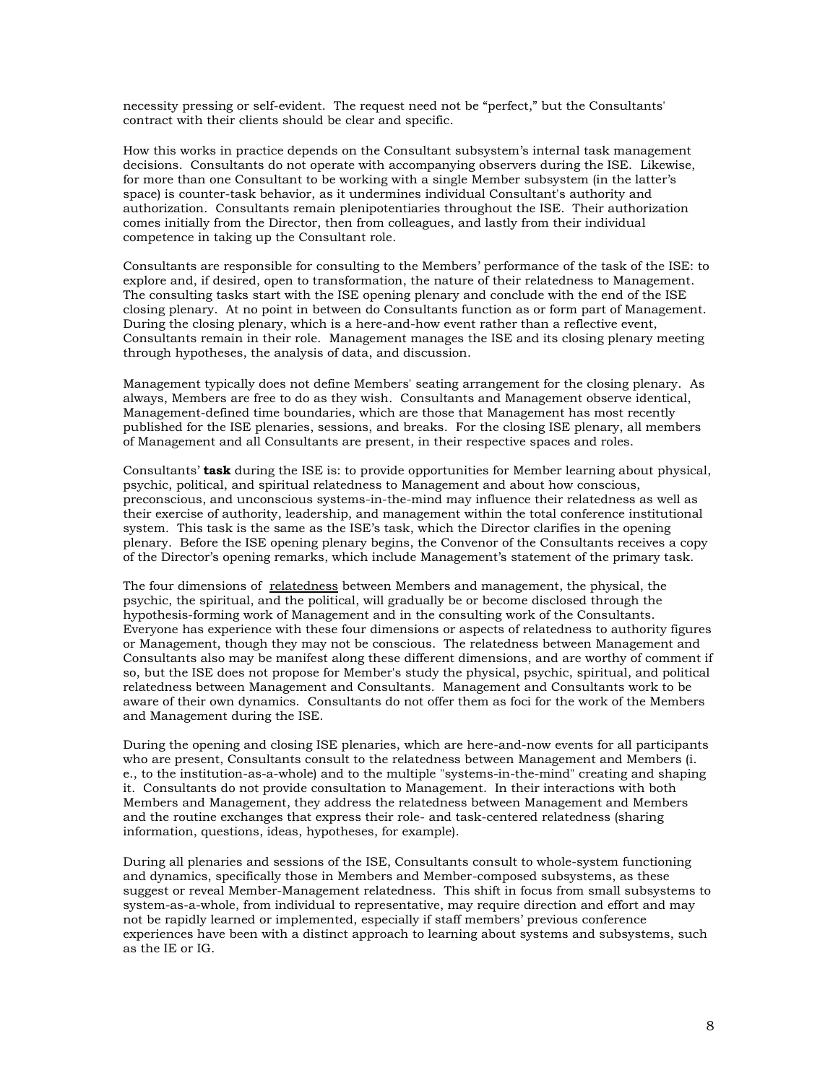necessity pressing or self-evident. The request need not be "perfect," but the Consultants' contract with their clients should be clear and specific.

How this works in practice depends on the Consultant subsystem's internal task management decisions. Consultants do not operate with accompanying observers during the ISE. Likewise, for more than one Consultant to be working with a single Member subsystem (in the latter's space) is counter-task behavior, as it undermines individual Consultant's authority and authorization. Consultants remain plenipotentiaries throughout the ISE. Their authorization comes initially from the Director, then from colleagues, and lastly from their individual competence in taking up the Consultant role.

Consultants are responsible for consulting to the Members' performance of the task of the ISE: to explore and, if desired, open to transformation, the nature of their relatedness to Management. The consulting tasks start with the ISE opening plenary and conclude with the end of the ISE closing plenary. At no point in between do Consultants function as or form part of Management. During the closing plenary, which is a here-and-how event rather than a reflective event, Consultants remain in their role. Management manages the ISE and its closing plenary meeting through hypotheses, the analysis of data, and discussion.

Management typically does not define Members' seating arrangement for the closing plenary. As always, Members are free to do as they wish. Consultants and Management observe identical, Management-defined time boundaries, which are those that Management has most recently published for the ISE plenaries, sessions, and breaks. For the closing ISE plenary, all members of Management and all Consultants are present, in their respective spaces and roles.

Consultants' **task** during the ISE is: to provide opportunities for Member learning about physical, psychic, political, and spiritual relatedness to Management and about how conscious, preconscious, and unconscious systems-in-the-mind may influence their relatedness as well as their exercise of authority, leadership, and management within the total conference institutional system. This task is the same as the ISE's task, which the Director clarifies in the opening plenary. Before the ISE opening plenary begins, the Convenor of the Consultants receives a copy of the Director's opening remarks, which include Management's statement of the primary task.

The four dimensions of relatedness between Members and management, the physical, the psychic, the spiritual, and the political, will gradually be or become disclosed through the hypothesis-forming work of Management and in the consulting work of the Consultants. Everyone has experience with these four dimensions or aspects of relatedness to authority figures or Management, though they may not be conscious. The relatedness between Management and Consultants also may be manifest along these different dimensions, and are worthy of comment if so, but the ISE does not propose for Member's study the physical, psychic, spiritual, and political relatedness between Management and Consultants. Management and Consultants work to be aware of their own dynamics. Consultants do not offer them as foci for the work of the Members and Management during the ISE.

During the opening and closing ISE plenaries, which are here-and-now events for all participants who are present, Consultants consult to the relatedness between Management and Members (i. e., to the institution-as-a-whole) and to the multiple "systems-in-the-mind" creating and shaping it. Consultants do not provide consultation to Management. In their interactions with both Members and Management, they address the relatedness between Management and Members and the routine exchanges that express their role- and task-centered relatedness (sharing information, questions, ideas, hypotheses, for example).

During all plenaries and sessions of the ISE, Consultants consult to whole-system functioning and dynamics, specifically those in Members and Member-composed subsystems, as these suggest or reveal Member-Management relatedness. This shift in focus from small subsystems to system-as-a-whole, from individual to representative, may require direction and effort and may not be rapidly learned or implemented, especially if staff members' previous conference experiences have been with a distinct approach to learning about systems and subsystems, such as the IE or IG.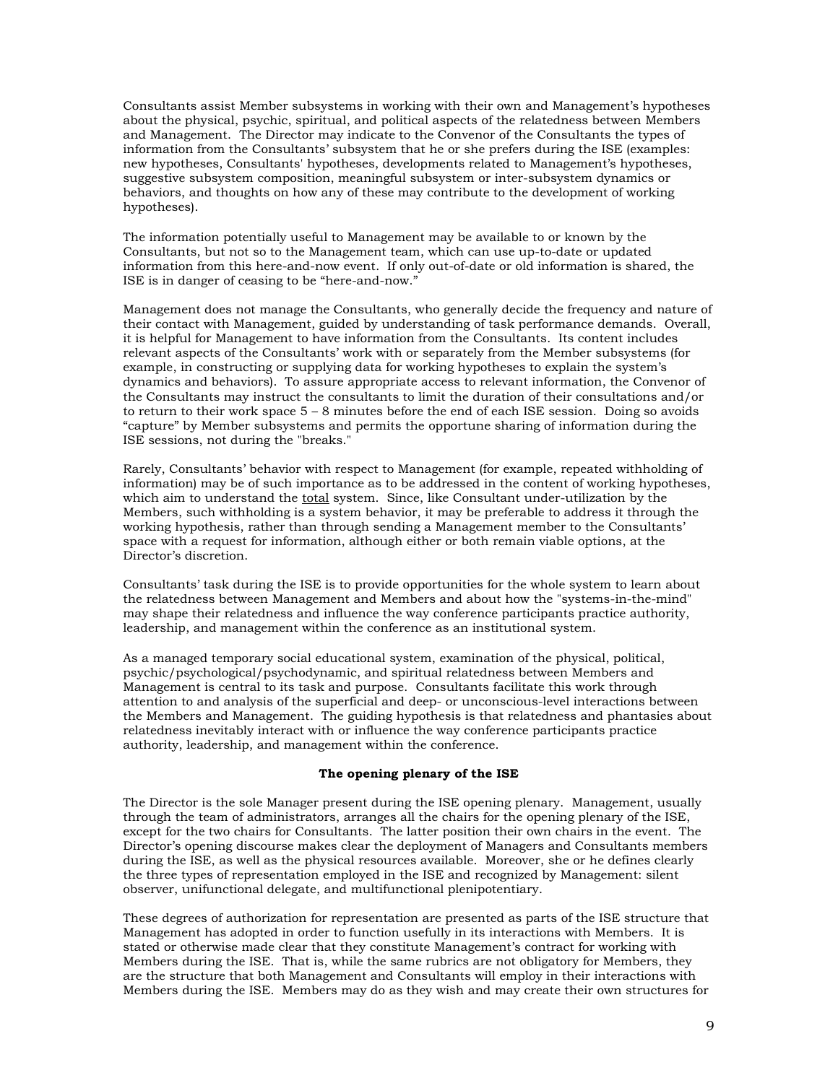Consultants assist Member subsystems in working with their own and Management's hypotheses about the physical, psychic, spiritual, and political aspects of the relatedness between Members and Management. The Director may indicate to the Convenor of the Consultants the types of information from the Consultants' subsystem that he or she prefers during the ISE (examples: new hypotheses, Consultants' hypotheses, developments related to Management's hypotheses, suggestive subsystem composition, meaningful subsystem or inter-subsystem dynamics or behaviors, and thoughts on how any of these may contribute to the development of working hypotheses).

The information potentially useful to Management may be available to or known by the Consultants, but not so to the Management team, which can use up-to-date or updated information from this here-and-now event. If only out-of-date or old information is shared, the ISE is in danger of ceasing to be "here-and-now."

Management does not manage the Consultants, who generally decide the frequency and nature of their contact with Management, guided by understanding of task performance demands. Overall, it is helpful for Management to have information from the Consultants. Its content includes relevant aspects of the Consultants' work with or separately from the Member subsystems (for example, in constructing or supplying data for working hypotheses to explain the system's dynamics and behaviors). To assure appropriate access to relevant information, the Convenor of the Consultants may instruct the consultants to limit the duration of their consultations and/or to return to their work space 5 – 8 minutes before the end of each ISE session. Doing so avoids "capture" by Member subsystems and permits the opportune sharing of information during the ISE sessions, not during the "breaks."

Rarely, Consultants' behavior with respect to Management (for example, repeated withholding of information) may be of such importance as to be addressed in the content of working hypotheses, which aim to understand the total system. Since, like Consultant under-utilization by the Members, such withholding is a system behavior, it may be preferable to address it through the working hypothesis, rather than through sending a Management member to the Consultants' space with a request for information, although either or both remain viable options, at the Director's discretion.

Consultants' task during the ISE is to provide opportunities for the whole system to learn about the relatedness between Management and Members and about how the "systems-in-the-mind" may shape their relatedness and influence the way conference participants practice authority, leadership, and management within the conference as an institutional system.

As a managed temporary social educational system, examination of the physical, political, psychic/psychological/psychodynamic, and spiritual relatedness between Members and Management is central to its task and purpose. Consultants facilitate this work through attention to and analysis of the superficial and deep- or unconscious-level interactions between the Members and Management. The guiding hypothesis is that relatedness and phantasies about relatedness inevitably interact with or influence the way conference participants practice authority, leadership, and management within the conference.

#### **The opening plenary of the ISE**

The Director is the sole Manager present during the ISE opening plenary. Management, usually through the team of administrators, arranges all the chairs for the opening plenary of the ISE, except for the two chairs for Consultants. The latter position their own chairs in the event. The Director's opening discourse makes clear the deployment of Managers and Consultants members during the ISE, as well as the physical resources available. Moreover, she or he defines clearly the three types of representation employed in the ISE and recognized by Management: silent observer, unifunctional delegate, and multifunctional plenipotentiary.

These degrees of authorization for representation are presented as parts of the ISE structure that Management has adopted in order to function usefully in its interactions with Members. It is stated or otherwise made clear that they constitute Management's contract for working with Members during the ISE. That is, while the same rubrics are not obligatory for Members, they are the structure that both Management and Consultants will employ in their interactions with Members during the ISE. Members may do as they wish and may create their own structures for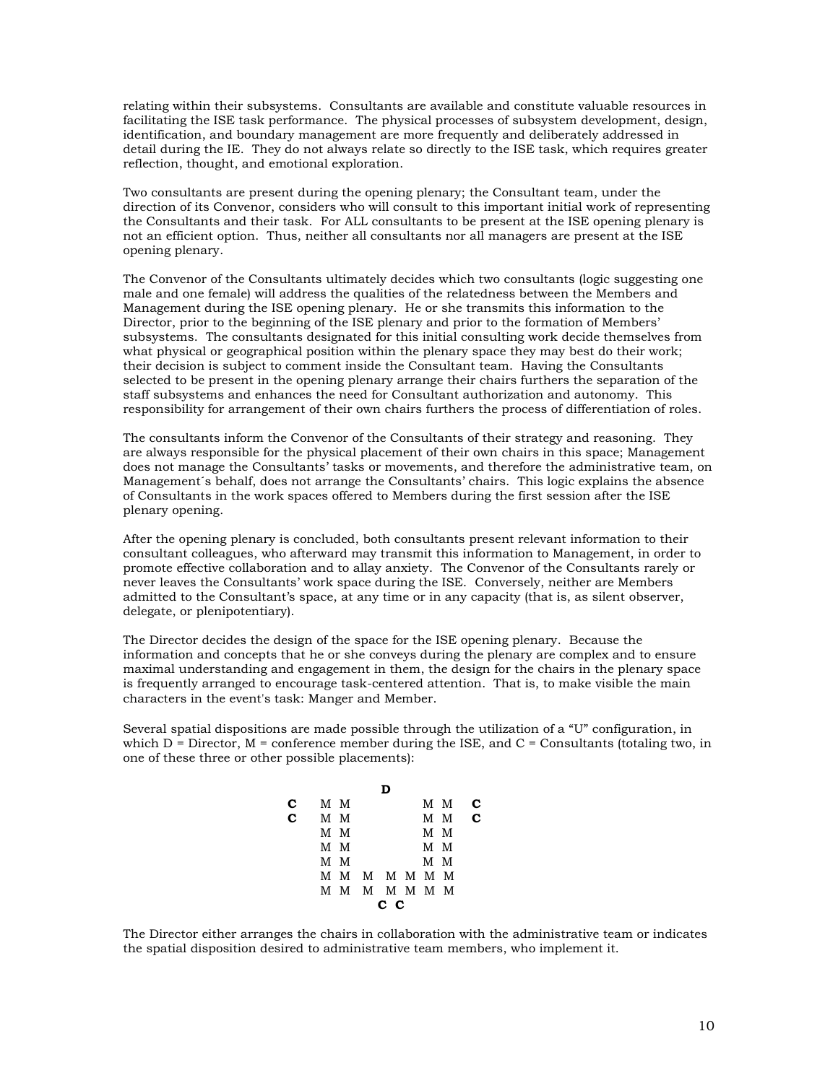relating within their subsystems. Consultants are available and constitute valuable resources in facilitating the ISE task performance. The physical processes of subsystem development, design, identification, and boundary management are more frequently and deliberately addressed in detail during the IE. They do not always relate so directly to the ISE task, which requires greater reflection, thought, and emotional exploration.

Two consultants are present during the opening plenary; the Consultant team, under the direction of its Convenor, considers who will consult to this important initial work of representing the Consultants and their task. For ALL consultants to be present at the ISE opening plenary is not an efficient option. Thus, neither all consultants nor all managers are present at the ISE opening plenary.

The Convenor of the Consultants ultimately decides which two consultants (logic suggesting one male and one female) will address the qualities of the relatedness between the Members and Management during the ISE opening plenary. He or she transmits this information to the Director, prior to the beginning of the ISE plenary and prior to the formation of Members' subsystems. The consultants designated for this initial consulting work decide themselves from what physical or geographical position within the plenary space they may best do their work; their decision is subject to comment inside the Consultant team. Having the Consultants selected to be present in the opening plenary arrange their chairs furthers the separation of the staff subsystems and enhances the need for Consultant authorization and autonomy. This responsibility for arrangement of their own chairs furthers the process of differentiation of roles.

The consultants inform the Convenor of the Consultants of their strategy and reasoning. They are always responsible for the physical placement of their own chairs in this space; Management does not manage the Consultants' tasks or movements, and therefore the administrative team, on Management´s behalf, does not arrange the Consultants' chairs. This logic explains the absence of Consultants in the work spaces offered to Members during the first session after the ISE plenary opening.

After the opening plenary is concluded, both consultants present relevant information to their consultant colleagues, who afterward may transmit this information to Management, in order to promote effective collaboration and to allay anxiety. The Convenor of the Consultants rarely or never leaves the Consultants' work space during the ISE. Conversely, neither are Members admitted to the Consultant's space, at any time or in any capacity (that is, as silent observer, delegate, or plenipotentiary).

The Director decides the design of the space for the ISE opening plenary. Because the information and concepts that he or she conveys during the plenary are complex and to ensure maximal understanding and engagement in them, the design for the chairs in the plenary space is frequently arranged to encourage task-centered attention. That is, to make visible the main characters in the event's task: Manger and Member.

Several spatial dispositions are made possible through the utilization of a "U" configuration, in which  $D =$  Director,  $M =$  conference member during the ISE, and  $C =$  Consultants (totaling two, in one of these three or other possible placements):

| C. |         | мм |               |  |  |     | M M   | С |
|----|---------|----|---------------|--|--|-----|-------|---|
|    | $C$ M M |    |               |  |  |     | M M C |   |
|    |         | мм |               |  |  | M M |       |   |
|    |         | мм |               |  |  | M M |       |   |
|    |         | мм |               |  |  | M M |       |   |
|    |         |    | M M M M M M M |  |  |     |       |   |
|    |         |    | M M M M M M M |  |  |     |       |   |
|    | сс      |    |               |  |  |     |       |   |

The Director either arranges the chairs in collaboration with the administrative team or indicates the spatial disposition desired to administrative team members, who implement it.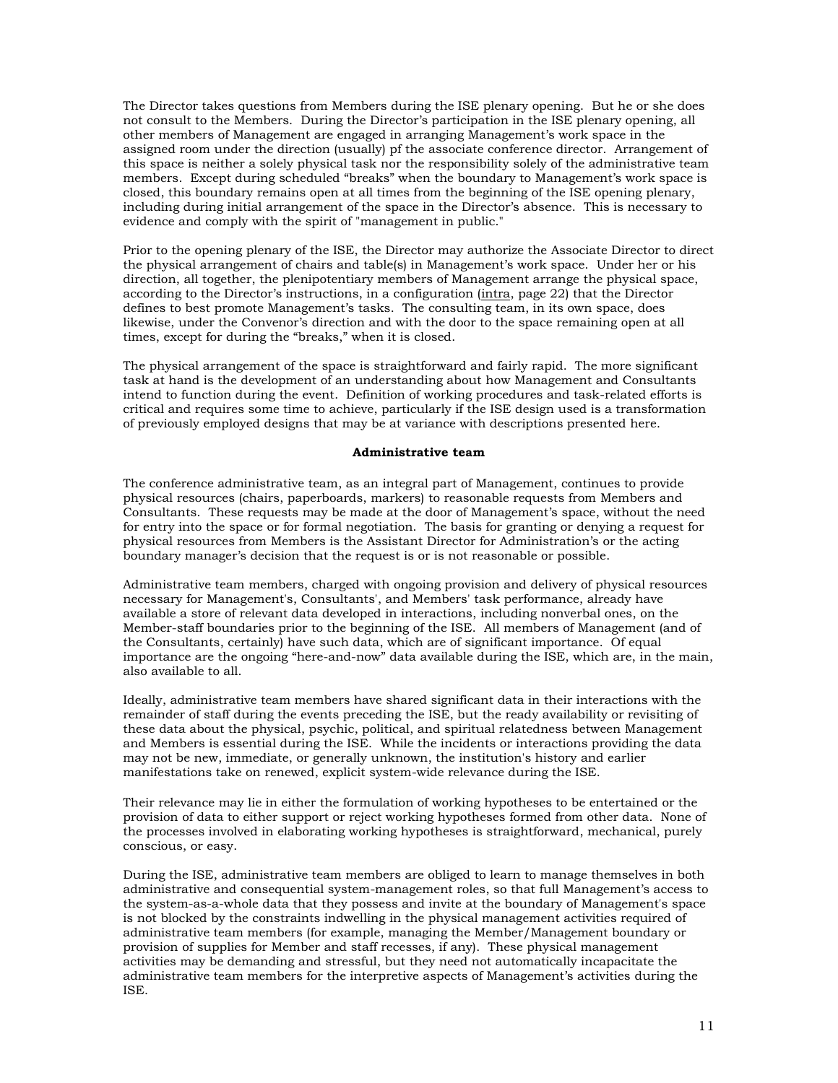The Director takes questions from Members during the ISE plenary opening. But he or she does not consult to the Members. During the Director's participation in the ISE plenary opening, all other members of Management are engaged in arranging Management's work space in the assigned room under the direction (usually) pf the associate conference director. Arrangement of this space is neither a solely physical task nor the responsibility solely of the administrative team members. Except during scheduled "breaks" when the boundary to Management's work space is closed, this boundary remains open at all times from the beginning of the ISE opening plenary, including during initial arrangement of the space in the Director's absence. This is necessary to evidence and comply with the spirit of "management in public."

Prior to the opening plenary of the ISE, the Director may authorize the Associate Director to direct the physical arrangement of chairs and table(s) in Management's work space. Under her or his direction, all together, the plenipotentiary members of Management arrange the physical space, according to the Director's instructions, in a configuration (intra, page 22) that the Director defines to best promote Management's tasks. The consulting team, in its own space, does likewise, under the Convenor's direction and with the door to the space remaining open at all times, except for during the "breaks," when it is closed.

The physical arrangement of the space is straightforward and fairly rapid. The more significant task at hand is the development of an understanding about how Management and Consultants intend to function during the event. Definition of working procedures and task-related efforts is critical and requires some time to achieve, particularly if the ISE design used is a transformation of previously employed designs that may be at variance with descriptions presented here.

#### **Administrative team**

The conference administrative team, as an integral part of Management, continues to provide physical resources (chairs, paperboards, markers) to reasonable requests from Members and Consultants. These requests may be made at the door of Management's space, without the need for entry into the space or for formal negotiation. The basis for granting or denying a request for physical resources from Members is the Assistant Director for Administration's or the acting boundary manager's decision that the request is or is not reasonable or possible.

Administrative team members, charged with ongoing provision and delivery of physical resources necessary for Management's, Consultants', and Members' task performance, already have available a store of relevant data developed in interactions, including nonverbal ones, on the Member-staff boundaries prior to the beginning of the ISE. All members of Management (and of the Consultants, certainly) have such data, which are of significant importance. Of equal importance are the ongoing "here-and-now" data available during the ISE, which are, in the main, also available to all.

Ideally, administrative team members have shared significant data in their interactions with the remainder of staff during the events preceding the ISE, but the ready availability or revisiting of these data about the physical, psychic, political, and spiritual relatedness between Management and Members is essential during the ISE. While the incidents or interactions providing the data may not be new, immediate, or generally unknown, the institution's history and earlier manifestations take on renewed, explicit system-wide relevance during the ISE.

Their relevance may lie in either the formulation of working hypotheses to be entertained or the provision of data to either support or reject working hypotheses formed from other data. None of the processes involved in elaborating working hypotheses is straightforward, mechanical, purely conscious, or easy.

During the ISE, administrative team members are obliged to learn to manage themselves in both administrative and consequential system-management roles, so that full Management's access to the system-as-a-whole data that they possess and invite at the boundary of Management's space is not blocked by the constraints indwelling in the physical management activities required of administrative team members (for example, managing the Member/Management boundary or provision of supplies for Member and staff recesses, if any). These physical management activities may be demanding and stressful, but they need not automatically incapacitate the administrative team members for the interpretive aspects of Management's activities during the ISE.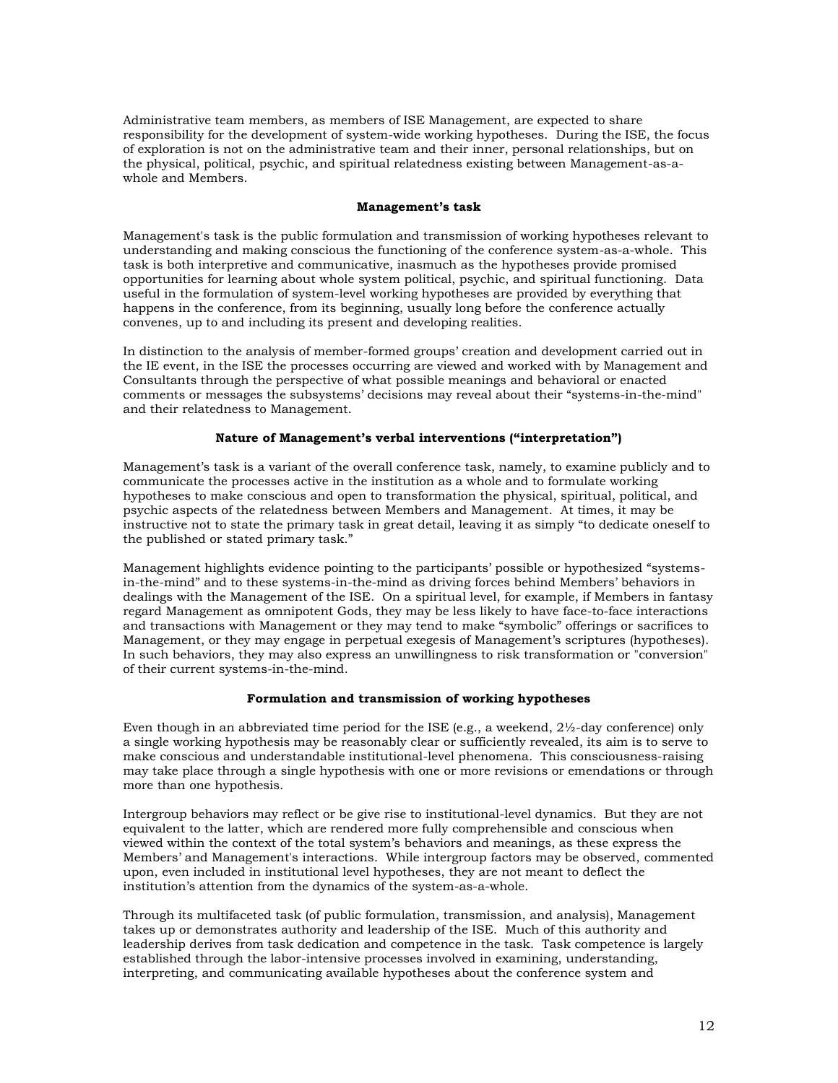Administrative team members, as members of ISE Management, are expected to share responsibility for the development of system-wide working hypotheses. During the ISE, the focus of exploration is not on the administrative team and their inner, personal relationships, but on the physical, political, psychic, and spiritual relatedness existing between Management-as-awhole and Members.

#### **Management's task**

Management's task is the public formulation and transmission of working hypotheses relevant to understanding and making conscious the functioning of the conference system-as-a-whole. This task is both interpretive and communicative, inasmuch as the hypotheses provide promised opportunities for learning about whole system political, psychic, and spiritual functioning. Data useful in the formulation of system-level working hypotheses are provided by everything that happens in the conference, from its beginning, usually long before the conference actually convenes, up to and including its present and developing realities.

In distinction to the analysis of member-formed groups' creation and development carried out in the IE event, in the ISE the processes occurring are viewed and worked with by Management and Consultants through the perspective of what possible meanings and behavioral or enacted comments or messages the subsystems' decisions may reveal about their "systems-in-the-mind" and their relatedness to Management.

### **Nature of Management's verbal interventions ("interpretation")**

Management's task is a variant of the overall conference task, namely, to examine publicly and to communicate the processes active in the institution as a whole and to formulate working hypotheses to make conscious and open to transformation the physical, spiritual, political, and psychic aspects of the relatedness between Members and Management. At times, it may be instructive not to state the primary task in great detail, leaving it as simply "to dedicate oneself to the published or stated primary task."

Management highlights evidence pointing to the participants' possible or hypothesized "systemsin-the-mind" and to these systems-in-the-mind as driving forces behind Members' behaviors in dealings with the Management of the ISE. On a spiritual level, for example, if Members in fantasy regard Management as omnipotent Gods, they may be less likely to have face-to-face interactions and transactions with Management or they may tend to make "symbolic" offerings or sacrifices to Management, or they may engage in perpetual exegesis of Management's scriptures (hypotheses). In such behaviors, they may also express an unwillingness to risk transformation or "conversion" of their current systems-in-the-mind.

### **Formulation and transmission of working hypotheses**

Even though in an abbreviated time period for the ISE (e.g., a weekend, 2½-day conference) only a single working hypothesis may be reasonably clear or sufficiently revealed, its aim is to serve to make conscious and understandable institutional-level phenomena. This consciousness-raising may take place through a single hypothesis with one or more revisions or emendations or through more than one hypothesis.

Intergroup behaviors may reflect or be give rise to institutional-level dynamics. But they are not equivalent to the latter, which are rendered more fully comprehensible and conscious when viewed within the context of the total system's behaviors and meanings, as these express the Members' and Management's interactions. While intergroup factors may be observed, commented upon, even included in institutional level hypotheses, they are not meant to deflect the institution's attention from the dynamics of the system-as-a-whole.

Through its multifaceted task (of public formulation, transmission, and analysis), Management takes up or demonstrates authority and leadership of the ISE. Much of this authority and leadership derives from task dedication and competence in the task. Task competence is largely established through the labor-intensive processes involved in examining, understanding, interpreting, and communicating available hypotheses about the conference system and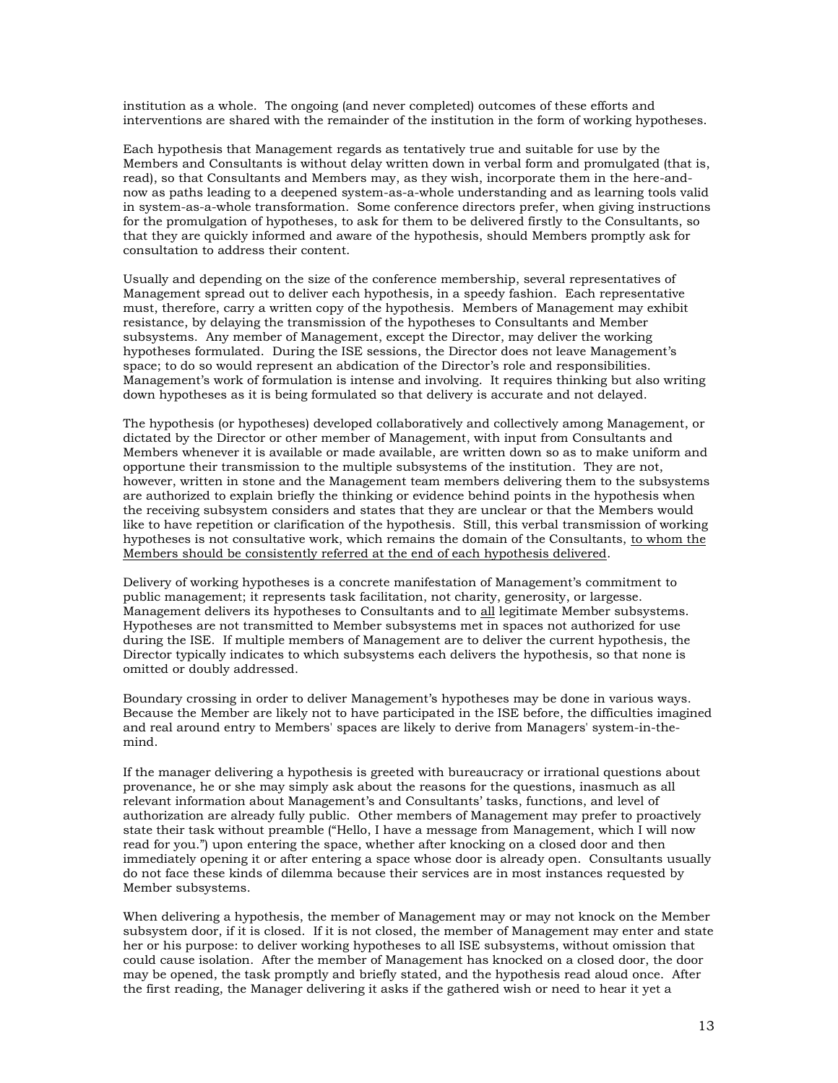institution as a whole. The ongoing (and never completed) outcomes of these efforts and interventions are shared with the remainder of the institution in the form of working hypotheses.

Each hypothesis that Management regards as tentatively true and suitable for use by the Members and Consultants is without delay written down in verbal form and promulgated (that is, read), so that Consultants and Members may, as they wish, incorporate them in the here-andnow as paths leading to a deepened system-as-a-whole understanding and as learning tools valid in system-as-a-whole transformation. Some conference directors prefer, when giving instructions for the promulgation of hypotheses, to ask for them to be delivered firstly to the Consultants, so that they are quickly informed and aware of the hypothesis, should Members promptly ask for consultation to address their content.

Usually and depending on the size of the conference membership, several representatives of Management spread out to deliver each hypothesis, in a speedy fashion. Each representative must, therefore, carry a written copy of the hypothesis. Members of Management may exhibit resistance, by delaying the transmission of the hypotheses to Consultants and Member subsystems. Any member of Management, except the Director, may deliver the working hypotheses formulated. During the ISE sessions, the Director does not leave Management's space; to do so would represent an abdication of the Director's role and responsibilities. Management's work of formulation is intense and involving. It requires thinking but also writing down hypotheses as it is being formulated so that delivery is accurate and not delayed.

The hypothesis (or hypotheses) developed collaboratively and collectively among Management, or dictated by the Director or other member of Management, with input from Consultants and Members whenever it is available or made available, are written down so as to make uniform and opportune their transmission to the multiple subsystems of the institution. They are not, however, written in stone and the Management team members delivering them to the subsystems are authorized to explain briefly the thinking or evidence behind points in the hypothesis when the receiving subsystem considers and states that they are unclear or that the Members would like to have repetition or clarification of the hypothesis. Still, this verbal transmission of working hypotheses is not consultative work, which remains the domain of the Consultants, to whom the Members should be consistently referred at the end of each hypothesis delivered.

Delivery of working hypotheses is a concrete manifestation of Management's commitment to public management; it represents task facilitation, not charity, generosity, or largesse. Management delivers its hypotheses to Consultants and to all legitimate Member subsystems. Hypotheses are not transmitted to Member subsystems met in spaces not authorized for use during the ISE. If multiple members of Management are to deliver the current hypothesis, the Director typically indicates to which subsystems each delivers the hypothesis, so that none is omitted or doubly addressed.

Boundary crossing in order to deliver Management's hypotheses may be done in various ways. Because the Member are likely not to have participated in the ISE before, the difficulties imagined and real around entry to Members' spaces are likely to derive from Managers' system-in-themind.

If the manager delivering a hypothesis is greeted with bureaucracy or irrational questions about provenance, he or she may simply ask about the reasons for the questions, inasmuch as all relevant information about Management's and Consultants' tasks, functions, and level of authorization are already fully public. Other members of Management may prefer to proactively state their task without preamble ("Hello, I have a message from Management, which I will now read for you.") upon entering the space, whether after knocking on a closed door and then immediately opening it or after entering a space whose door is already open. Consultants usually do not face these kinds of dilemma because their services are in most instances requested by Member subsystems.

When delivering a hypothesis, the member of Management may or may not knock on the Member subsystem door, if it is closed. If it is not closed, the member of Management may enter and state her or his purpose: to deliver working hypotheses to all ISE subsystems, without omission that could cause isolation. After the member of Management has knocked on a closed door, the door may be opened, the task promptly and briefly stated, and the hypothesis read aloud once. After the first reading, the Manager delivering it asks if the gathered wish or need to hear it yet a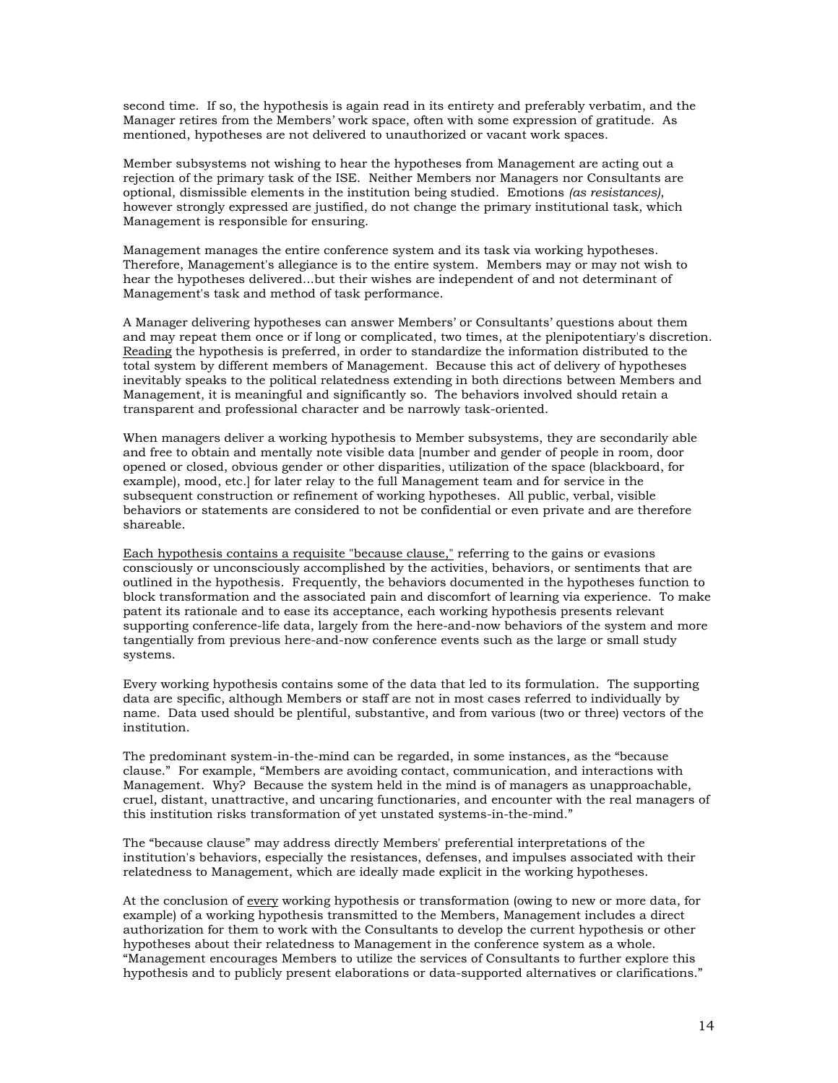second time. If so, the hypothesis is again read in its entirety and preferably verbatim, and the Manager retires from the Members' work space, often with some expression of gratitude. As mentioned, hypotheses are not delivered to unauthorized or vacant work spaces.

Member subsystems not wishing to hear the hypotheses from Management are acting out a rejection of the primary task of the ISE. Neither Members nor Managers nor Consultants are optional, dismissible elements in the institution being studied. Emotions *(as resistances)*, however strongly expressed are justified, do not change the primary institutional task, which Management is responsible for ensuring.

Management manages the entire conference system and its task via working hypotheses. Therefore, Management's allegiance is to the entire system. Members may or may not wish to hear the hypotheses delivered...but their wishes are independent of and not determinant of Management's task and method of task performance.

A Manager delivering hypotheses can answer Members' or Consultants' questions about them and may repeat them once or if long or complicated, two times, at the plenipotentiary's discretion. Reading the hypothesis is preferred, in order to standardize the information distributed to the total system by different members of Management. Because this act of delivery of hypotheses inevitably speaks to the political relatedness extending in both directions between Members and Management, it is meaningful and significantly so. The behaviors involved should retain a transparent and professional character and be narrowly task-oriented.

When managers deliver a working hypothesis to Member subsystems, they are secondarily able and free to obtain and mentally note visible data [number and gender of people in room, door opened or closed, obvious gender or other disparities, utilization of the space (blackboard, for example), mood, etc.] for later relay to the full Management team and for service in the subsequent construction or refinement of working hypotheses. All public, verbal, visible behaviors or statements are considered to not be confidential or even private and are therefore shareable.

Each hypothesis contains a requisite "because clause," referring to the gains or evasions consciously or unconsciously accomplished by the activities, behaviors, or sentiments that are outlined in the hypothesis. Frequently, the behaviors documented in the hypotheses function to block transformation and the associated pain and discomfort of learning via experience. To make patent its rationale and to ease its acceptance, each working hypothesis presents relevant supporting conference-life data, largely from the here-and-now behaviors of the system and more tangentially from previous here-and-now conference events such as the large or small study systems.

Every working hypothesis contains some of the data that led to its formulation. The supporting data are specific, although Members or staff are not in most cases referred to individually by name. Data used should be plentiful, substantive, and from various (two or three) vectors of the institution.

The predominant system-in-the-mind can be regarded, in some instances, as the "because clause." For example, "Members are avoiding contact, communication, and interactions with Management. Why? Because the system held in the mind is of managers as unapproachable, cruel, distant, unattractive, and uncaring functionaries, and encounter with the real managers of this institution risks transformation of yet unstated systems-in-the-mind."

The "because clause" may address directly Members' preferential interpretations of the institution's behaviors, especially the resistances, defenses, and impulses associated with their relatedness to Management, which are ideally made explicit in the working hypotheses.

At the conclusion of every working hypothesis or transformation (owing to new or more data, for example) of a working hypothesis transmitted to the Members, Management includes a direct authorization for them to work with the Consultants to develop the current hypothesis or other hypotheses about their relatedness to Management in the conference system as a whole. "Management encourages Members to utilize the services of Consultants to further explore this hypothesis and to publicly present elaborations or data-supported alternatives or clarifications."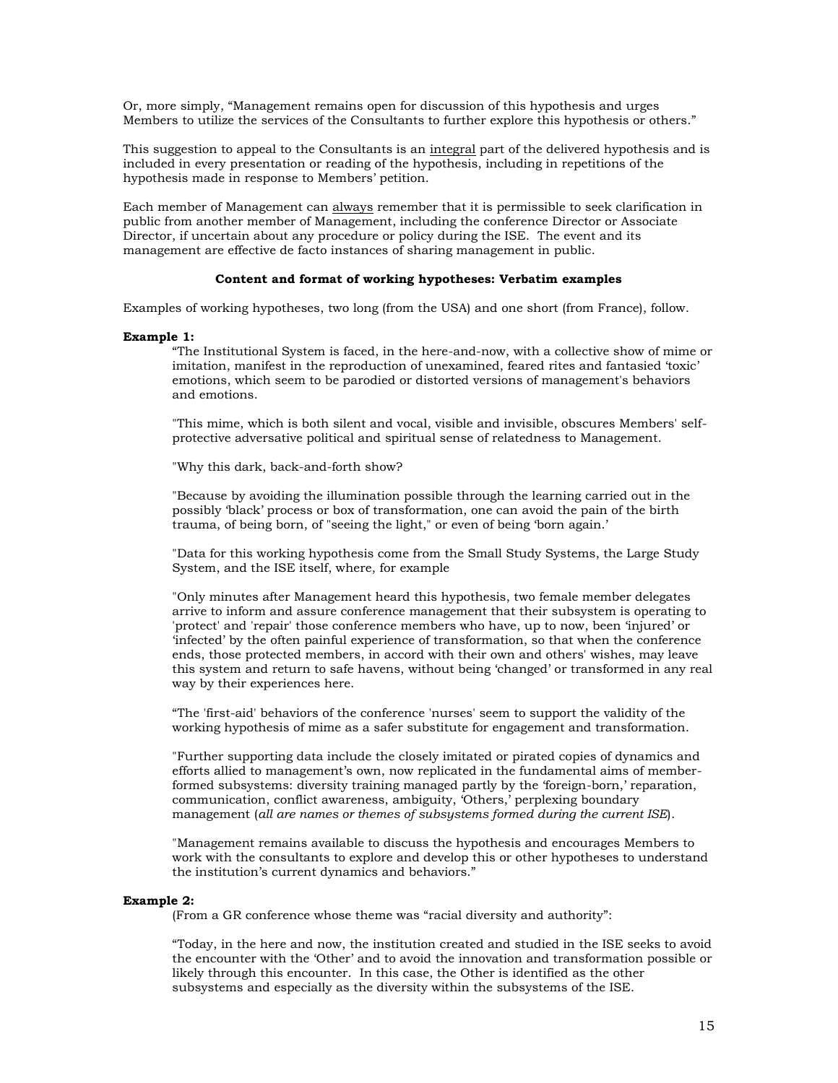Or, more simply, "Management remains open for discussion of this hypothesis and urges Members to utilize the services of the Consultants to further explore this hypothesis or others."

This suggestion to appeal to the Consultants is an integral part of the delivered hypothesis and is included in every presentation or reading of the hypothesis, including in repetitions of the hypothesis made in response to Members' petition.

Each member of Management can always remember that it is permissible to seek clarification in public from another member of Management, including the conference Director or Associate Director, if uncertain about any procedure or policy during the ISE. The event and its management are effective de facto instances of sharing management in public.

#### **Content and format of working hypotheses: Verbatim examples**

Examples of working hypotheses, two long (from the USA) and one short (from France), follow.

#### **Example 1:**

"The Institutional System is faced, in the here-and-now, with a collective show of mime or imitation, manifest in the reproduction of unexamined, feared rites and fantasied 'toxic' emotions, which seem to be parodied or distorted versions of management's behaviors and emotions.

"This mime, which is both silent and vocal, visible and invisible, obscures Members' selfprotective adversative political and spiritual sense of relatedness to Management.

"Why this dark, back-and-forth show?

"Because by avoiding the illumination possible through the learning carried out in the possibly 'black' process or box of transformation, one can avoid the pain of the birth trauma, of being born, of "seeing the light," or even of being 'born again.'

"Data for this working hypothesis come from the Small Study Systems, the Large Study System, and the ISE itself, where, for example

"Only minutes after Management heard this hypothesis, two female member delegates arrive to inform and assure conference management that their subsystem is operating to 'protect' and 'repair' those conference members who have, up to now, been 'injured' or 'infected' by the often painful experience of transformation, so that when the conference ends, those protected members, in accord with their own and others' wishes, may leave this system and return to safe havens, without being 'changed' or transformed in any real way by their experiences here.

"The 'first-aid' behaviors of the conference 'nurses' seem to support the validity of the working hypothesis of mime as a safer substitute for engagement and transformation.

"Further supporting data include the closely imitated or pirated copies of dynamics and efforts allied to management's own, now replicated in the fundamental aims of memberformed subsystems: diversity training managed partly by the 'foreign-born,' reparation, communication, conflict awareness, ambiguity, 'Others,' perplexing boundary management (*all are names or themes of subsystems formed during the current ISE*).

"Management remains available to discuss the hypothesis and encourages Members to work with the consultants to explore and develop this or other hypotheses to understand the institution's current dynamics and behaviors."

#### **Example 2:**

(From a GR conference whose theme was "racial diversity and authority":

"Today, in the here and now, the institution created and studied in the ISE seeks to avoid the encounter with the 'Other' and to avoid the innovation and transformation possible or likely through this encounter. In this case, the Other is identified as the other subsystems and especially as the diversity within the subsystems of the ISE.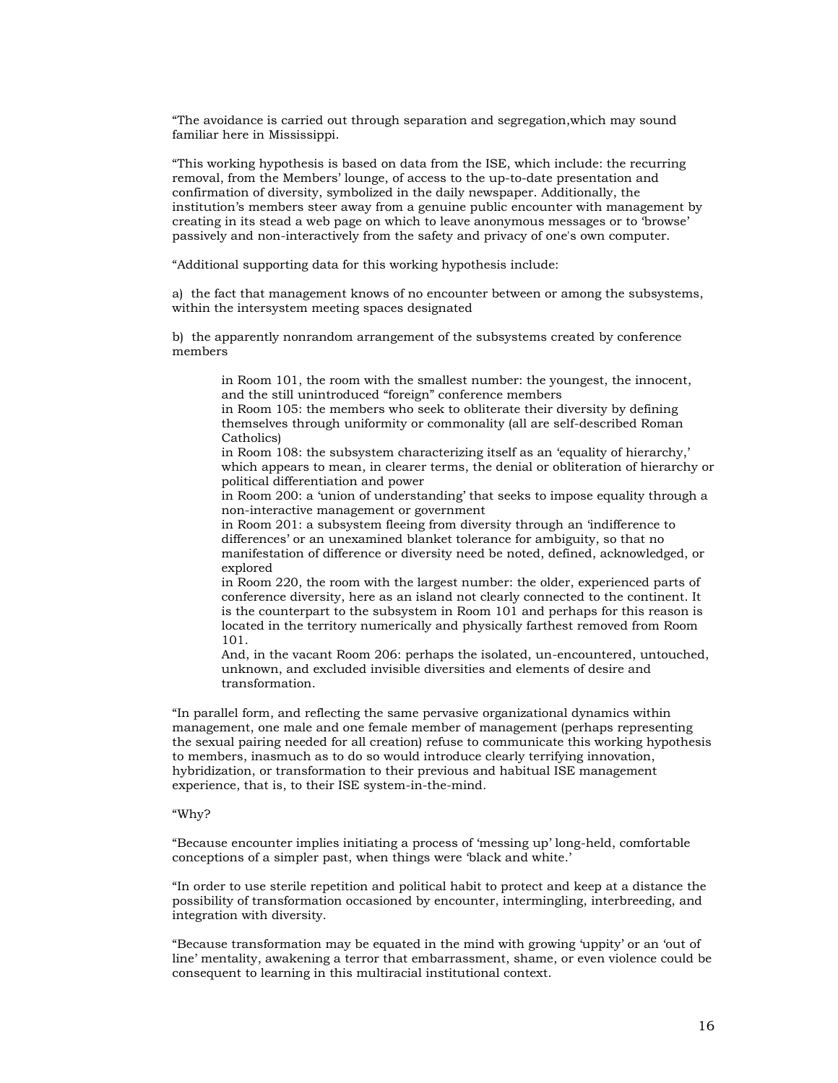"The avoidance is carried out through separation and segregation,which may sound familiar here in Mississippi.

"This working hypothesis is based on data from the ISE, which include: the recurring removal, from the Members' lounge, of access to the up-to-date presentation and confirmation of diversity, symbolized in the daily newspaper. Additionally, the institution's members steer away from a genuine public encounter with management by creating in its stead a web page on which to leave anonymous messages or to 'browse' passively and non-interactively from the safety and privacy of one's own computer.

"Additional supporting data for this working hypothesis include:

a) the fact that management knows of no encounter between or among the subsystems, within the intersystem meeting spaces designated

b) the apparently nonrandom arrangement of the subsystems created by conference members

in Room 101, the room with the smallest number: the youngest, the innocent, and the still unintroduced "foreign" conference members

in Room 105: the members who seek to obliterate their diversity by defining themselves through uniformity or commonality (all are self-described Roman Catholics)

in Room 108: the subsystem characterizing itself as an 'equality of hierarchy,' which appears to mean, in clearer terms, the denial or obliteration of hierarchy or political differentiation and power

in Room 200: a 'union of understanding' that seeks to impose equality through a non-interactive management or government

in Room 201: a subsystem fleeing from diversity through an 'indifference to differences' or an unexamined blanket tolerance for ambiguity, so that no manifestation of difference or diversity need be noted, defined, acknowledged, or explored

in Room 220, the room with the largest number: the older, experienced parts of conference diversity, here as an island not clearly connected to the continent. It is the counterpart to the subsystem in Room 101 and perhaps for this reason is located in the territory numerically and physically farthest removed from Room 101.

And, in the vacant Room 206: perhaps the isolated, un-encountered, untouched, unknown, and excluded invisible diversities and elements of desire and transformation.

"In parallel form, and reflecting the same pervasive organizational dynamics within management, one male and one female member of management (perhaps representing the sexual pairing needed for all creation) refuse to communicate this working hypothesis to members, inasmuch as to do so would introduce clearly terrifying innovation, hybridization, or transformation to their previous and habitual ISE management experience, that is, to their ISE system-in-the-mind.

### "Why?

"Because encounter implies initiating a process of 'messing up' long-held, comfortable conceptions of a simpler past, when things were 'black and white.'

"In order to use sterile repetition and political habit to protect and keep at a distance the possibility of transformation occasioned by encounter, intermingling, interbreeding, and integration with diversity.

"Because transformation may be equated in the mind with growing 'uppity' or an 'out of line' mentality, awakening a terror that embarrassment, shame, or even violence could be consequent to learning in this multiracial institutional context.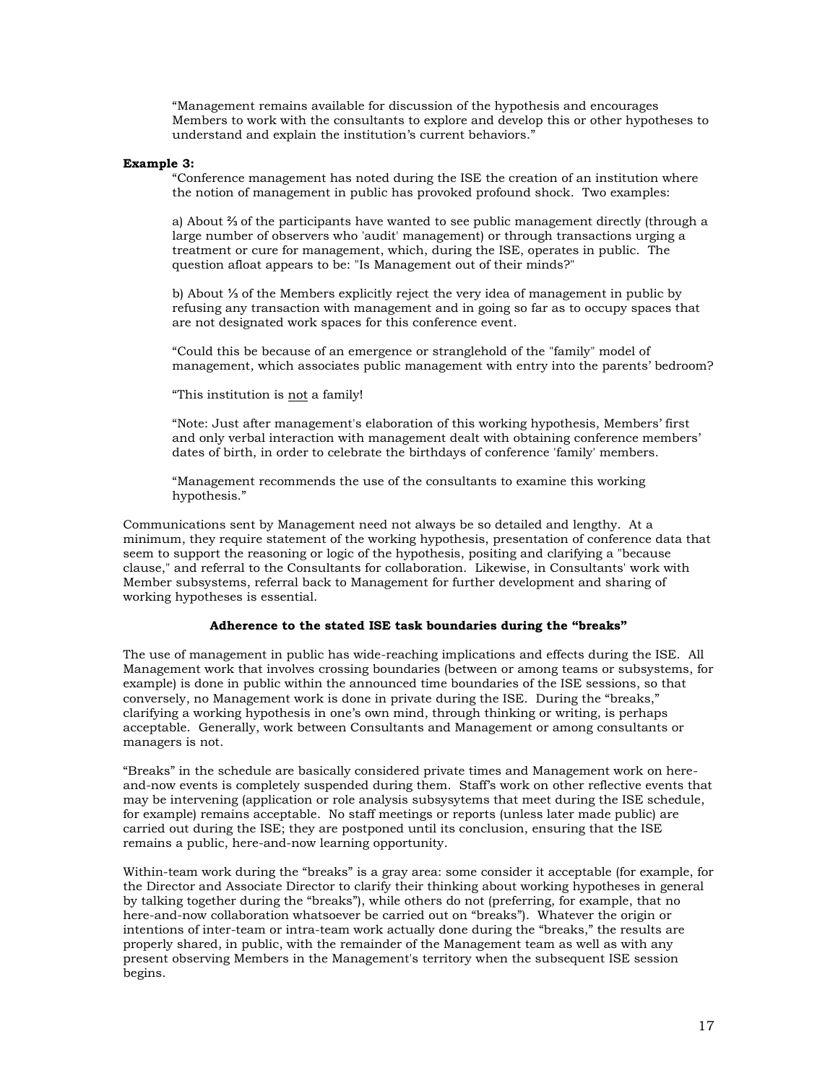"Management remains available for discussion of the hypothesis and encourages Members to work with the consultants to explore and develop this or other hypotheses to understand and explain the institution's current behaviors."

#### **Example 3:**

"Conference management has noted during the ISE the creation of an institution where the notion of management in public has provoked profound shock. Two examples:

a) About ⅔ of the participants have wanted to see public management directly (through a large number of observers who 'audit' management) or through transactions urging a treatment or cure for management, which, during the ISE, operates in public. The question afloat appears to be: "Is Management out of their minds?"

b) About ⅓ of the Members explicitly reject the very idea of management in public by refusing any transaction with management and in going so far as to occupy spaces that are not designated work spaces for this conference event.

"Could this be because of an emergence or stranglehold of the "family" model of management, which associates public management with entry into the parents' bedroom?

"This institution is not a family!

"Note: Just after management's elaboration of this working hypothesis, Members' first and only verbal interaction with management dealt with obtaining conference members' dates of birth, in order to celebrate the birthdays of conference 'family' members.

"Management recommends the use of the consultants to examine this working hypothesis."

Communications sent by Management need not always be so detailed and lengthy. At a minimum, they require statement of the working hypothesis, presentation of conference data that seem to support the reasoning or logic of the hypothesis, positing and clarifying a "because" clause," and referral to the Consultants for collaboration. Likewise, in Consultants' work with Member subsystems, referral back to Management for further development and sharing of working hypotheses is essential.

### **Adherence to the stated ISE task boundaries during the "breaks"**

The use of management in public has wide-reaching implications and effects during the ISE. All Management work that involves crossing boundaries (between or among teams or subsystems, for example) is done in public within the announced time boundaries of the ISE sessions, so that conversely, no Management work is done in private during the ISE. During the "breaks," clarifying a working hypothesis in one's own mind, through thinking or writing, is perhaps acceptable. Generally, work between Consultants and Management or among consultants or managers is not.

"Breaks" in the schedule are basically considered private times and Management work on hereand-now events is completely suspended during them. Staff's work on other reflective events that may be intervening (application or role analysis subsysytems that meet during the ISE schedule, for example) remains acceptable. No staff meetings or reports (unless later made public) are carried out during the ISE; they are postponed until its conclusion, ensuring that the ISE remains a public, here-and-now learning opportunity.

Within-team work during the "breaks" is a gray area: some consider it acceptable (for example, for the Director and Associate Director to clarify their thinking about working hypotheses in general by talking together during the "breaks"), while others do not (preferring, for example, that no here-and-now collaboration whatsoever be carried out on "breaks"). Whatever the origin or intentions of inter-team or intra-team work actually done during the "breaks," the results are properly shared, in public, with the remainder of the Management team as well as with any present observing Members in the Management's territory when the subsequent ISE session begins.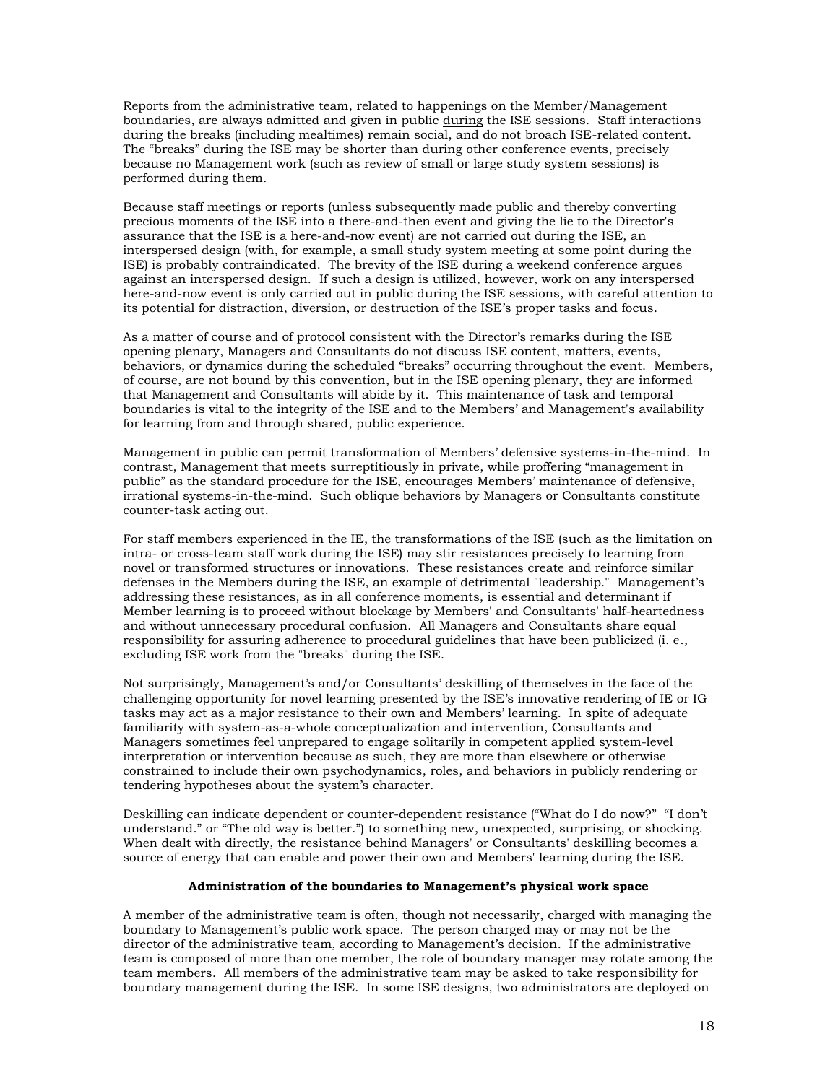Reports from the administrative team, related to happenings on the Member/Management boundaries, are always admitted and given in public during the ISE sessions. Staff interactions during the breaks (including mealtimes) remain social, and do not broach ISE-related content. The "breaks" during the ISE may be shorter than during other conference events, precisely because no Management work (such as review of small or large study system sessions) is performed during them.

Because staff meetings or reports (unless subsequently made public and thereby converting precious moments of the ISE into a there-and-then event and giving the lie to the Director's assurance that the ISE is a here-and-now event) are not carried out during the ISE, an interspersed design (with, for example, a small study system meeting at some point during the ISE) is probably contraindicated. The brevity of the ISE during a weekend conference argues against an interspersed design. If such a design is utilized, however, work on any interspersed here-and-now event is only carried out in public during the ISE sessions, with careful attention to its potential for distraction, diversion, or destruction of the ISE's proper tasks and focus.

As a matter of course and of protocol consistent with the Director's remarks during the ISE opening plenary, Managers and Consultants do not discuss ISE content, matters, events, behaviors, or dynamics during the scheduled "breaks" occurring throughout the event. Members, of course, are not bound by this convention, but in the ISE opening plenary, they are informed that Management and Consultants will abide by it. This maintenance of task and temporal boundaries is vital to the integrity of the ISE and to the Members' and Management's availability for learning from and through shared, public experience.

Management in public can permit transformation of Members' defensive systems-in-the-mind. In contrast, Management that meets surreptitiously in private, while proffering "management in public" as the standard procedure for the ISE, encourages Members' maintenance of defensive, irrational systems-in-the-mind. Such oblique behaviors by Managers or Consultants constitute counter-task acting out.

For staff members experienced in the IE, the transformations of the ISE (such as the limitation on intra- or cross-team staff work during the ISE) may stir resistances precisely to learning from novel or transformed structures or innovations. These resistances create and reinforce similar defenses in the Members during the ISE, an example of detrimental "leadership." Management's addressing these resistances, as in all conference moments, is essential and determinant if Member learning is to proceed without blockage by Members' and Consultants' half-heartedness and without unnecessary procedural confusion. All Managers and Consultants share equal responsibility for assuring adherence to procedural guidelines that have been publicized (i. e., excluding ISE work from the "breaks" during the ISE.

Not surprisingly, Management's and/or Consultants' deskilling of themselves in the face of the challenging opportunity for novel learning presented by the ISE's innovative rendering of IE or IG tasks may act as a major resistance to their own and Members' learning. In spite of adequate familiarity with system-as-a-whole conceptualization and intervention, Consultants and Managers sometimes feel unprepared to engage solitarily in competent applied system-level interpretation or intervention because as such, they are more than elsewhere or otherwise constrained to include their own psychodynamics, roles, and behaviors in publicly rendering or tendering hypotheses about the system's character.

Deskilling can indicate dependent or counter-dependent resistance ("What do I do now?" "I don't understand." or "The old way is better.") to something new, unexpected, surprising, or shocking. When dealt with directly, the resistance behind Managers' or Consultants' deskilling becomes a source of energy that can enable and power their own and Members' learning during the ISE.

### **Administration of the boundaries to Management's physical work space**

A member of the administrative team is often, though not necessarily, charged with managing the boundary to Management's public work space. The person charged may or may not be the director of the administrative team, according to Management's decision. If the administrative team is composed of more than one member, the role of boundary manager may rotate among the team members. All members of the administrative team may be asked to take responsibility for boundary management during the ISE. In some ISE designs, two administrators are deployed on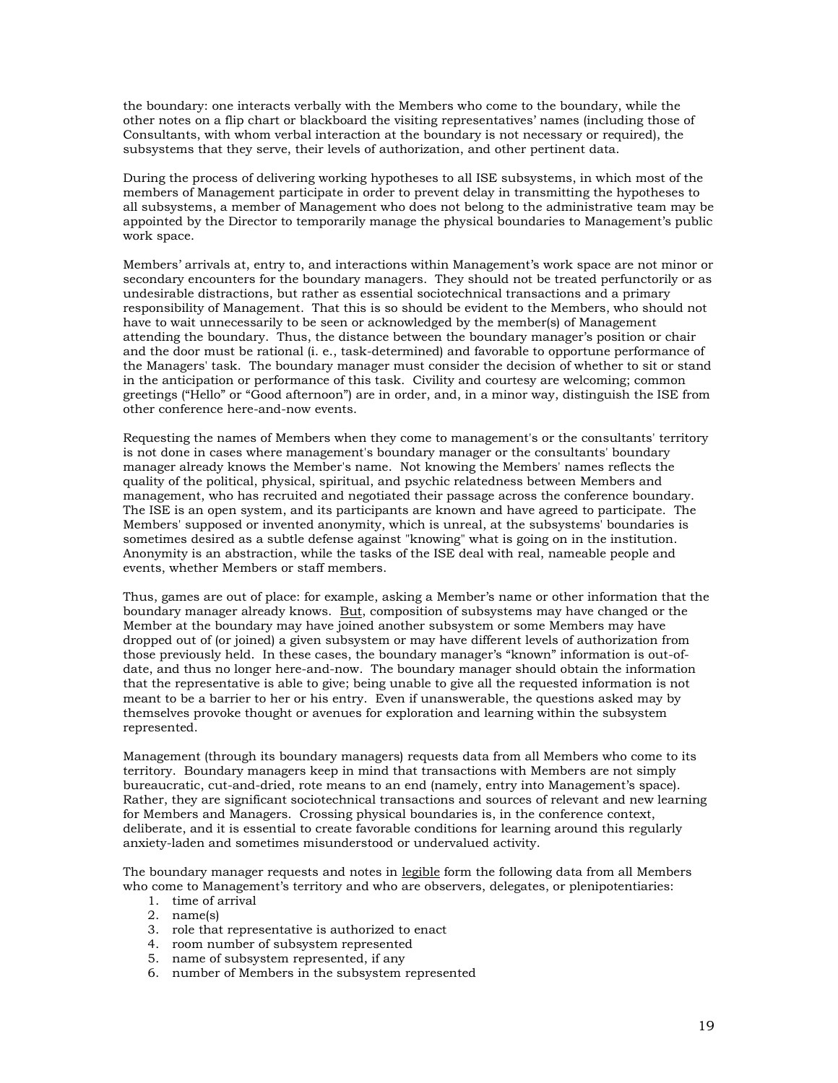the boundary: one interacts verbally with the Members who come to the boundary, while the other notes on a flip chart or blackboard the visiting representatives' names (including those of Consultants, with whom verbal interaction at the boundary is not necessary or required), the subsystems that they serve, their levels of authorization, and other pertinent data.

During the process of delivering working hypotheses to all ISE subsystems, in which most of the members of Management participate in order to prevent delay in transmitting the hypotheses to all subsystems, a member of Management who does not belong to the administrative team may be appointed by the Director to temporarily manage the physical boundaries to Management's public work space.

Members' arrivals at, entry to, and interactions within Management's work space are not minor or secondary encounters for the boundary managers. They should not be treated perfunctorily or as undesirable distractions, but rather as essential sociotechnical transactions and a primary responsibility of Management. That this is so should be evident to the Members, who should not have to wait unnecessarily to be seen or acknowledged by the member(s) of Management attending the boundary. Thus, the distance between the boundary manager's position or chair and the door must be rational (i. e., task-determined) and favorable to opportune performance of the Managers' task. The boundary manager must consider the decision of whether to sit or stand in the anticipation or performance of this task. Civility and courtesy are welcoming; common greetings ("Hello" or "Good afternoon") are in order, and, in a minor way, distinguish the ISE from other conference here-and-now events.

Requesting the names of Members when they come to management's or the consultants' territory is not done in cases where management's boundary manager or the consultants' boundary manager already knows the Member's name. Not knowing the Members' names reflects the quality of the political, physical, spiritual, and psychic relatedness between Members and management, who has recruited and negotiated their passage across the conference boundary. The ISE is an open system, and its participants are known and have agreed to participate. The Members' supposed or invented anonymity, which is unreal, at the subsystems' boundaries is sometimes desired as a subtle defense against "knowing" what is going on in the institution. Anonymity is an abstraction, while the tasks of the ISE deal with real, nameable people and events, whether Members or staff members.

Thus, games are out of place: for example, asking a Member's name or other information that the boundary manager already knows. But, composition of subsystems may have changed or the Member at the boundary may have joined another subsystem or some Members may have dropped out of (or joined) a given subsystem or may have different levels of authorization from those previously held. In these cases, the boundary manager's "known" information is out-ofdate, and thus no longer here-and-now. The boundary manager should obtain the information that the representative is able to give; being unable to give all the requested information is not meant to be a barrier to her or his entry. Even if unanswerable, the questions asked may by themselves provoke thought or avenues for exploration and learning within the subsystem represented.

Management (through its boundary managers) requests data from all Members who come to its territory. Boundary managers keep in mind that transactions with Members are not simply bureaucratic, cut-and-dried, rote means to an end (namely, entry into Management's space). Rather, they are significant sociotechnical transactions and sources of relevant and new learning for Members and Managers. Crossing physical boundaries is, in the conference context, deliberate, and it is essential to create favorable conditions for learning around this regularly anxiety-laden and sometimes misunderstood or undervalued activity.

The boundary manager requests and notes in legible form the following data from all Members who come to Management's territory and who are observers, delegates, or plenipotentiaries:

- 1. time of arrival
- 2. name(s)
- 3. role that representative is authorized to enact
- 4. room number of subsystem represented
- 5. name of subsystem represented, if any
- 6. number of Members in the subsystem represented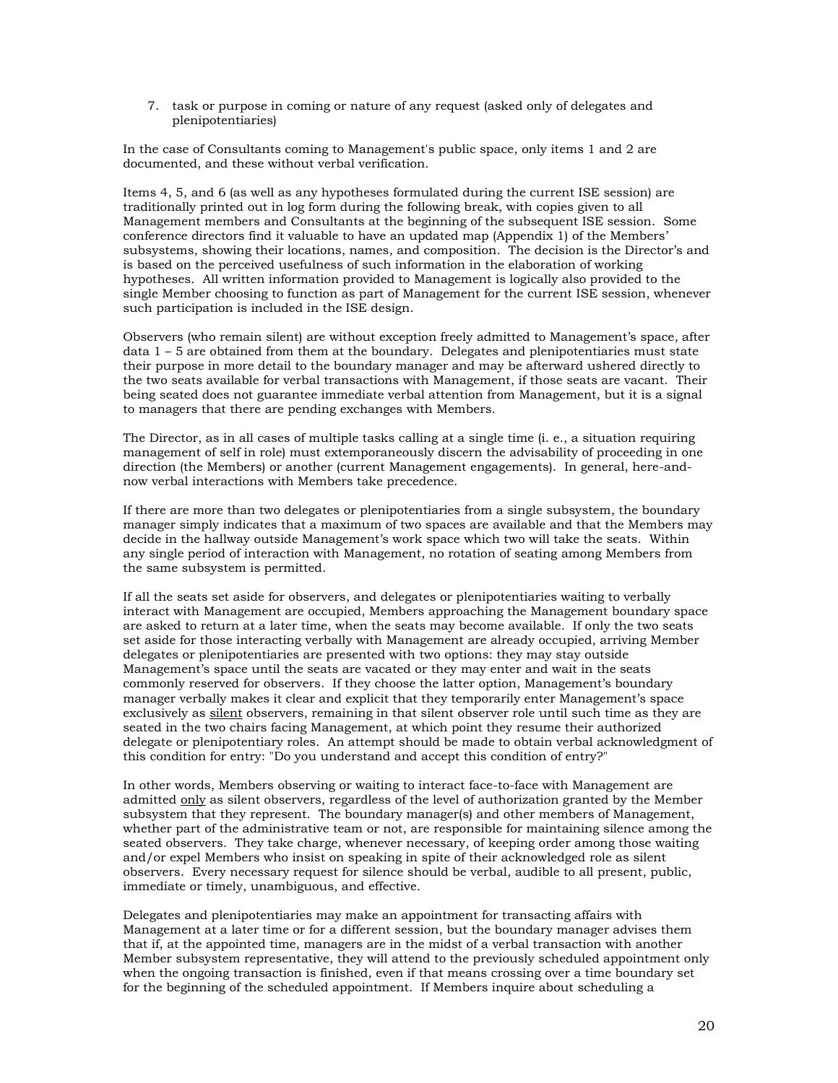7. task or purpose in coming or nature of any request (asked only of delegates and plenipotentiaries)

In the case of Consultants coming to Management's public space, only items 1 and 2 are documented, and these without verbal verification.

Items 4, 5, and 6 (as well as any hypotheses formulated during the current ISE session) are traditionally printed out in log form during the following break, with copies given to all Management members and Consultants at the beginning of the subsequent ISE session. Some conference directors find it valuable to have an updated map (Appendix 1) of the Members' subsystems, showing their locations, names, and composition. The decision is the Director's and is based on the perceived usefulness of such information in the elaboration of working hypotheses. All written information provided to Management is logically also provided to the single Member choosing to function as part of Management for the current ISE session, whenever such participation is included in the ISE design.

Observers (who remain silent) are without exception freely admitted to Management's space, after data 1 – 5 are obtained from them at the boundary. Delegates and plenipotentiaries must state their purpose in more detail to the boundary manager and may be afterward ushered directly to the two seats available for verbal transactions with Management, if those seats are vacant. Their being seated does not guarantee immediate verbal attention from Management, but it is a signal to managers that there are pending exchanges with Members.

The Director, as in all cases of multiple tasks calling at a single time (i. e., a situation requiring management of self in role) must extemporaneously discern the advisability of proceeding in one direction (the Members) or another (current Management engagements). In general, here-andnow verbal interactions with Members take precedence.

If there are more than two delegates or plenipotentiaries from a single subsystem, the boundary manager simply indicates that a maximum of two spaces are available and that the Members may decide in the hallway outside Management's work space which two will take the seats. Within any single period of interaction with Management, no rotation of seating among Members from the same subsystem is permitted.

If all the seats set aside for observers, and delegates or plenipotentiaries waiting to verbally interact with Management are occupied, Members approaching the Management boundary space are asked to return at a later time, when the seats may become available. If only the two seats set aside for those interacting verbally with Management are already occupied, arriving Member delegates or plenipotentiaries are presented with two options: they may stay outside Management's space until the seats are vacated or they may enter and wait in the seats commonly reserved for observers. If they choose the latter option, Management's boundary manager verbally makes it clear and explicit that they temporarily enter Management's space exclusively as silent observers, remaining in that silent observer role until such time as they are seated in the two chairs facing Management, at which point they resume their authorized delegate or plenipotentiary roles. An attempt should be made to obtain verbal acknowledgment of this condition for entry: "Do you understand and accept this condition of entry?"

In other words, Members observing or waiting to interact face-to-face with Management are admitted only as silent observers, regardless of the level of authorization granted by the Member subsystem that they represent. The boundary manager(s) and other members of Management, whether part of the administrative team or not, are responsible for maintaining silence among the seated observers. They take charge, whenever necessary, of keeping order among those waiting and/or expel Members who insist on speaking in spite of their acknowledged role as silent observers. Every necessary request for silence should be verbal, audible to all present, public, immediate or timely, unambiguous, and effective.

Delegates and plenipotentiaries may make an appointment for transacting affairs with Management at a later time or for a different session, but the boundary manager advises them that if, at the appointed time, managers are in the midst of a verbal transaction with another Member subsystem representative, they will attend to the previously scheduled appointment only when the ongoing transaction is finished, even if that means crossing over a time boundary set for the beginning of the scheduled appointment. If Members inquire about scheduling a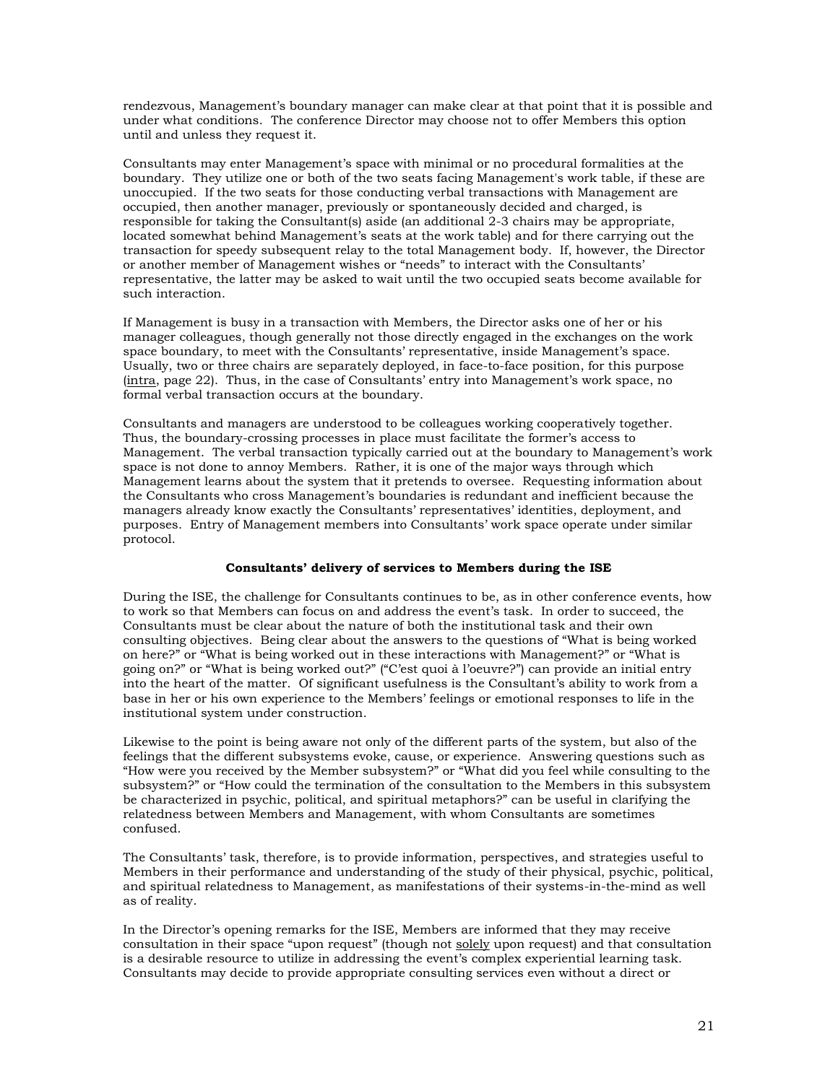rendezvous, Management's boundary manager can make clear at that point that it is possible and under what conditions. The conference Director may choose not to offer Members this option until and unless they request it.

Consultants may enter Management's space with minimal or no procedural formalities at the boundary. They utilize one or both of the two seats facing Management's work table, if these are unoccupied. If the two seats for those conducting verbal transactions with Management are occupied, then another manager, previously or spontaneously decided and charged, is responsible for taking the Consultant(s) aside (an additional 2-3 chairs may be appropriate, located somewhat behind Management's seats at the work table) and for there carrying out the transaction for speedy subsequent relay to the total Management body. If, however, the Director or another member of Management wishes or "needs" to interact with the Consultants' representative, the latter may be asked to wait until the two occupied seats become available for such interaction.

If Management is busy in a transaction with Members, the Director asks one of her or his manager colleagues, though generally not those directly engaged in the exchanges on the work space boundary, to meet with the Consultants' representative, inside Management's space. Usually, two or three chairs are separately deployed, in face-to-face position, for this purpose (intra, page 22). Thus, in the case of Consultants' entry into Management's work space, no formal verbal transaction occurs at the boundary.

Consultants and managers are understood to be colleagues working cooperatively together. Thus, the boundary-crossing processes in place must facilitate the former's access to Management. The verbal transaction typically carried out at the boundary to Management's work space is not done to annoy Members. Rather, it is one of the major ways through which Management learns about the system that it pretends to oversee. Requesting information about the Consultants who cross Management's boundaries is redundant and inefficient because the managers already know exactly the Consultants' representatives' identities, deployment, and purposes. Entry of Management members into Consultants' work space operate under similar protocol.

### **Consultants' delivery of services to Members during the ISE**

During the ISE, the challenge for Consultants continues to be, as in other conference events, how to work so that Members can focus on and address the event's task. In order to succeed, the Consultants must be clear about the nature of both the institutional task and their own consulting objectives. Being clear about the answers to the questions of "What is being worked on here?" or "What is being worked out in these interactions with Management?" or "What is going on?" or "What is being worked out?" ("C'est quoi à l'oeuvre?") can provide an initial entry into the heart of the matter. Of significant usefulness is the Consultant's ability to work from a base in her or his own experience to the Members' feelings or emotional responses to life in the institutional system under construction.

Likewise to the point is being aware not only of the different parts of the system, but also of the feelings that the different subsystems evoke, cause, or experience. Answering questions such as "How were you received by the Member subsystem?" or "What did you feel while consulting to the subsystem?" or "How could the termination of the consultation to the Members in this subsystem be characterized in psychic, political, and spiritual metaphors?" can be useful in clarifying the relatedness between Members and Management, with whom Consultants are sometimes confused.

The Consultants' task, therefore, is to provide information, perspectives, and strategies useful to Members in their performance and understanding of the study of their physical, psychic, political, and spiritual relatedness to Management, as manifestations of their systems-in-the-mind as well as of reality.

In the Director's opening remarks for the ISE, Members are informed that they may receive consultation in their space "upon request" (though not solely upon request) and that consultation is a desirable resource to utilize in addressing the event's complex experiential learning task. Consultants may decide to provide appropriate consulting services even without a direct or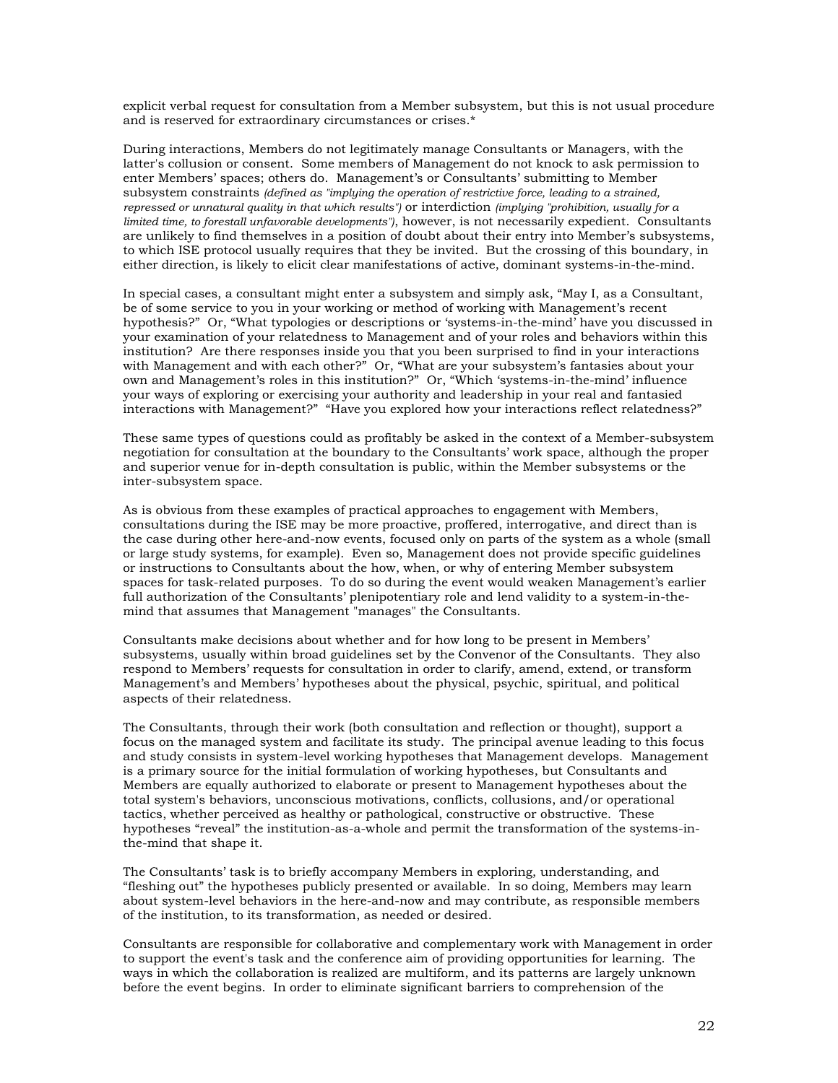explicit verbal request for consultation from a Member subsystem, but this is not usual procedure and is reserved for extraordinary circumstances or crises.\*

During interactions, Members do not legitimately manage Consultants or Managers, with the latter's collusion or consent. Some members of Management do not knock to ask permission to enter Members' spaces; others do. Management's or Consultants' submitting to Member subsystem constraints *(defined as "implying the operation of restrictive force, leading to a strained, repressed or unnatural quality in that which results")* or interdiction *(implying "prohibition, usually for a limited time, to forestall unfavorable developments")*, however, is not necessarily expedient. Consultants are unlikely to find themselves in a position of doubt about their entry into Member's subsystems, to which ISE protocol usually requires that they be invited. But the crossing of this boundary, in either direction, is likely to elicit clear manifestations of active, dominant systems-in-the-mind.

In special cases, a consultant might enter a subsystem and simply ask, "May I, as a Consultant, be of some service to you in your working or method of working with Management's recent hypothesis?" Or, "What typologies or descriptions or 'systems-in-the-mind' have you discussed in your examination of your relatedness to Management and of your roles and behaviors within this institution? Are there responses inside you that you been surprised to find in your interactions with Management and with each other?" Or, "What are your subsystem's fantasies about your own and Management's roles in this institution?" Or, "Which 'systems-in-the-mind' influence your ways of exploring or exercising your authority and leadership in your real and fantasied interactions with Management?" "Have you explored how your interactions reflect relatedness?"

These same types of questions could as profitably be asked in the context of a Member-subsystem negotiation for consultation at the boundary to the Consultants' work space, although the proper and superior venue for in-depth consultation is public, within the Member subsystems or the inter-subsystem space.

As is obvious from these examples of practical approaches to engagement with Members, consultations during the ISE may be more proactive, proffered, interrogative, and direct than is the case during other here-and-now events, focused only on parts of the system as a whole (small or large study systems, for example). Even so, Management does not provide specific guidelines or instructions to Consultants about the how, when, or why of entering Member subsystem spaces for task-related purposes. To do so during the event would weaken Management's earlier full authorization of the Consultants' plenipotentiary role and lend validity to a system-in-themind that assumes that Management "manages" the Consultants.

Consultants make decisions about whether and for how long to be present in Members' subsystems, usually within broad guidelines set by the Convenor of the Consultants. They also respond to Members' requests for consultation in order to clarify, amend, extend, or transform Management's and Members' hypotheses about the physical, psychic, spiritual, and political aspects of their relatedness.

The Consultants, through their work (both consultation and reflection or thought), support a focus on the managed system and facilitate its study. The principal avenue leading to this focus and study consists in system-level working hypotheses that Management develops. Management is a primary source for the initial formulation of working hypotheses, but Consultants and Members are equally authorized to elaborate or present to Management hypotheses about the total system's behaviors, unconscious motivations, conflicts, collusions, and/or operational tactics, whether perceived as healthy or pathological, constructive or obstructive. These hypotheses "reveal" the institution-as-a-whole and permit the transformation of the systems-inthe-mind that shape it.

The Consultants' task is to briefly accompany Members in exploring, understanding, and "fleshing out" the hypotheses publicly presented or available. In so doing, Members may learn about system-level behaviors in the here-and-now and may contribute, as responsible members of the institution, to its transformation, as needed or desired.

Consultants are responsible for collaborative and complementary work with Management in order to support the event's task and the conference aim of providing opportunities for learning. The ways in which the collaboration is realized are multiform, and its patterns are largely unknown before the event begins. In order to eliminate significant barriers to comprehension of the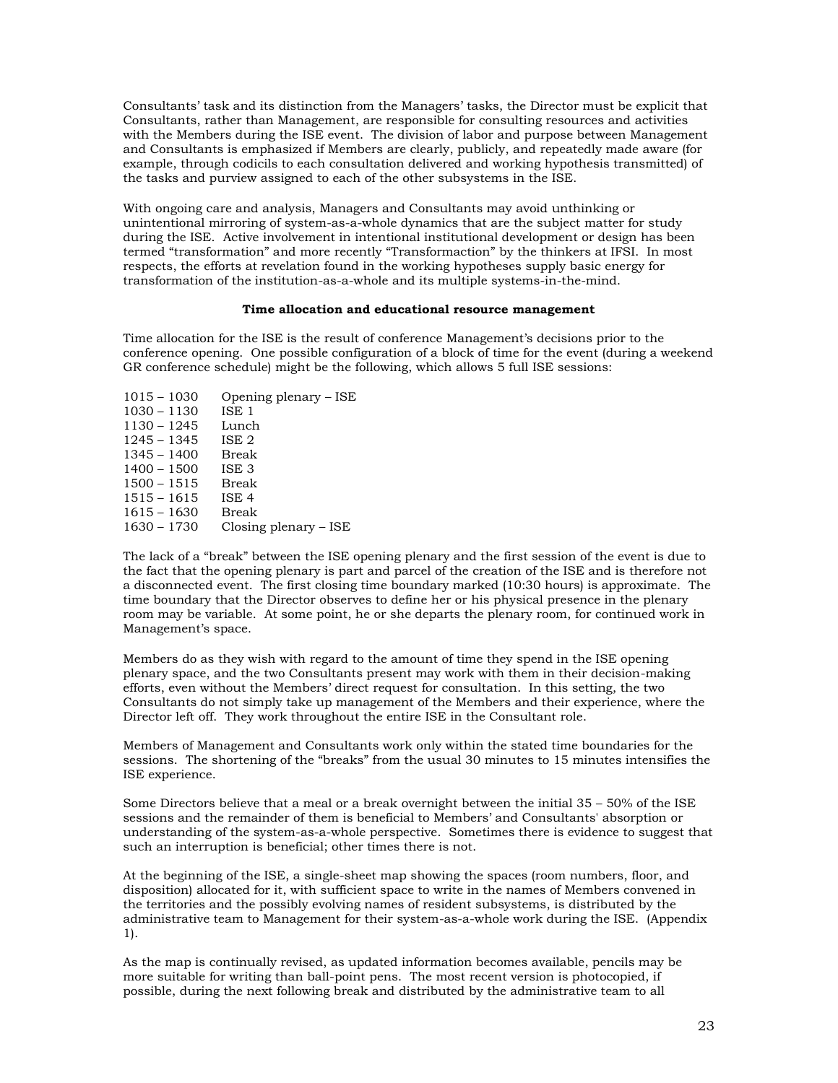Consultants' task and its distinction from the Managers' tasks, the Director must be explicit that Consultants, rather than Management, are responsible for consulting resources and activities with the Members during the ISE event. The division of labor and purpose between Management and Consultants is emphasized if Members are clearly, publicly, and repeatedly made aware (for example, through codicils to each consultation delivered and working hypothesis transmitted) of the tasks and purview assigned to each of the other subsystems in the ISE.

With ongoing care and analysis, Managers and Consultants may avoid unthinking or unintentional mirroring of system-as-a-whole dynamics that are the subject matter for study during the ISE. Active involvement in intentional institutional development or design has been termed "transformation" and more recently "Transformaction" by the thinkers at IFSI. In most respects, the efforts at revelation found in the working hypotheses supply basic energy for transformation of the institution-as-a-whole and its multiple systems-in-the-mind.

#### **Time allocation and educational resource management**

Time allocation for the ISE is the result of conference Management's decisions prior to the conference opening. One possible configuration of a block of time for the event (during a weekend GR conference schedule) might be the following, which allows 5 full ISE sessions:

| $1015 - 1030$ | Opening plenary – ISE   |
|---------------|-------------------------|
| $1030 - 1130$ | ISE <sub>1</sub>        |
| $1130 - 1245$ | Lunch                   |
| $1245 - 1345$ | ISE <sub>2</sub>        |
| $1345 - 1400$ | Break                   |
| $1400 - 1500$ | ISE <sub>3</sub>        |
| $1500 - 1515$ | Break                   |
| $1515 - 1615$ | ISE <sub>4</sub>        |
| $1615 - 1630$ | Break                   |
| $1630 - 1730$ | Closing plenary $-$ ISE |
|               |                         |

The lack of a "break" between the ISE opening plenary and the first session of the event is due to the fact that the opening plenary is part and parcel of the creation of the ISE and is therefore not a disconnected event. The first closing time boundary marked (10:30 hours) is approximate. The time boundary that the Director observes to define her or his physical presence in the plenary room may be variable. At some point, he or she departs the plenary room, for continued work in Management's space.

Members do as they wish with regard to the amount of time they spend in the ISE opening plenary space, and the two Consultants present may work with them in their decision-making efforts, even without the Members' direct request for consultation. In this setting, the two Consultants do not simply take up management of the Members and their experience, where the Director left off. They work throughout the entire ISE in the Consultant role.

Members of Management and Consultants work only within the stated time boundaries for the sessions. The shortening of the "breaks" from the usual 30 minutes to 15 minutes intensifies the ISE experience.

Some Directors believe that a meal or a break overnight between the initial 35 – 50% of the ISE sessions and the remainder of them is beneficial to Members' and Consultants' absorption or understanding of the system-as-a-whole perspective. Sometimes there is evidence to suggest that such an interruption is beneficial; other times there is not.

At the beginning of the ISE, a single-sheet map showing the spaces (room numbers, floor, and disposition) allocated for it, with sufficient space to write in the names of Members convened in the territories and the possibly evolving names of resident subsystems, is distributed by the administrative team to Management for their system-as-a-whole work during the ISE. (Appendix 1).

As the map is continually revised, as updated information becomes available, pencils may be more suitable for writing than ball-point pens. The most recent version is photocopied, if possible, during the next following break and distributed by the administrative team to all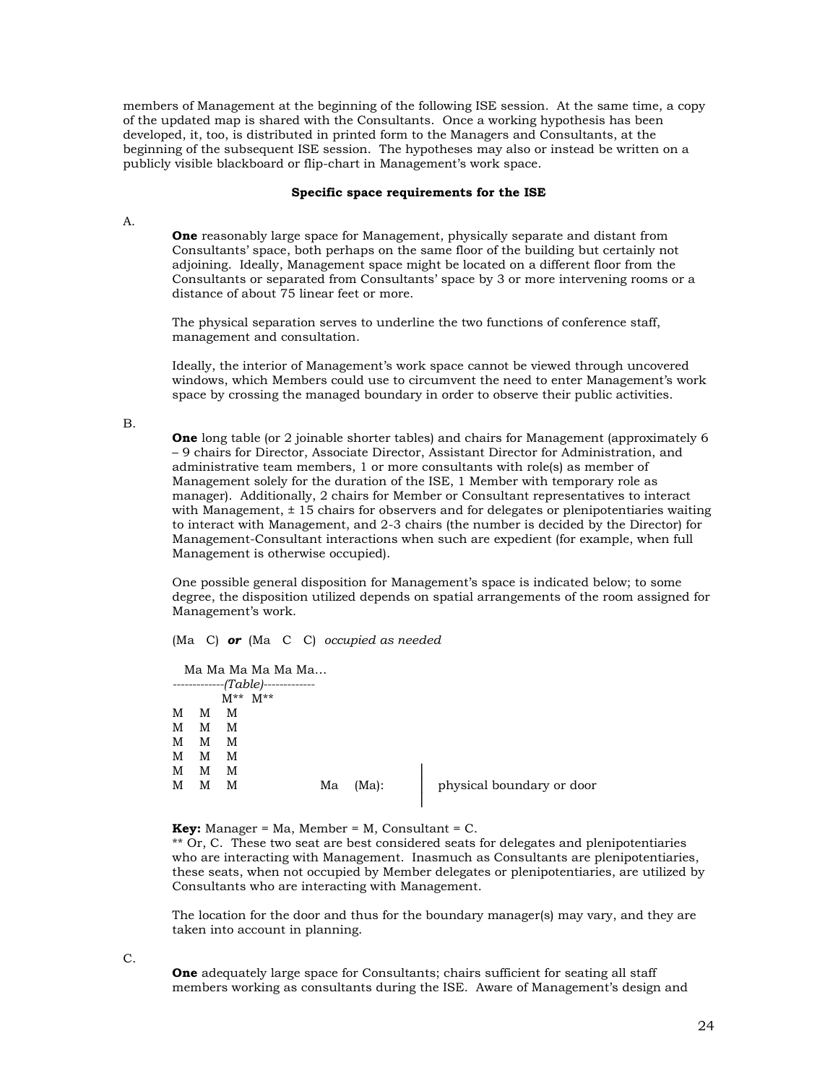members of Management at the beginning of the following ISE session. At the same time, a copy of the updated map is shared with the Consultants. Once a working hypothesis has been developed, it, too, is distributed in printed form to the Managers and Consultants, at the beginning of the subsequent ISE session. The hypotheses may also or instead be written on a publicly visible blackboard or flip-chart in Management's work space.

#### **Specific space requirements for the ISE**

A.

**One** reasonably large space for Management, physically separate and distant from Consultants' space, both perhaps on the same floor of the building but certainly not adjoining. Ideally, Management space might be located on a different floor from the Consultants or separated from Consultants' space by 3 or more intervening rooms or a distance of about 75 linear feet or more.

The physical separation serves to underline the two functions of conference staff, management and consultation.

Ideally, the interior of Management's work space cannot be viewed through uncovered windows, which Members could use to circumvent the need to enter Management's work space by crossing the managed boundary in order to observe their public activities.

B.

**One** long table (or 2 joinable shorter tables) and chairs for Management (approximately 6 – 9 chairs for Director, Associate Director, Assistant Director for Administration, and administrative team members, 1 or more consultants with role(s) as member of Management solely for the duration of the ISE, 1 Member with temporary role as manager). Additionally, 2 chairs for Member or Consultant representatives to interact with Management, ± 15 chairs for observers and for delegates or plenipotentiaries waiting to interact with Management, and 2-3 chairs (the number is decided by the Director) for Management-Consultant interactions when such are expedient (for example, when full Management is otherwise occupied).

One possible general disposition for Management's space is indicated below; to some degree, the disposition utilized depends on spatial arrangements of the room assigned for Management's work.

(Ma C) *or* (Ma C C) *occupied as needed*

|   |   |   | Ma Ma Ma Ma Ma Ma  |    |       |                           |
|---|---|---|--------------------|----|-------|---------------------------|
|   |   |   | $------(Table)---$ |    |       |                           |
|   |   |   | $M^{**}$ $M^{**}$  |    |       |                           |
| М | М | M |                    |    |       |                           |
| M | м | M |                    |    |       |                           |
| М | м | M |                    |    |       |                           |
| M | м | M |                    |    |       |                           |
| М | M | M |                    |    |       |                           |
| M | M | M |                    | Ma | (Ma): | physical boundary or door |
|   |   |   |                    |    |       |                           |

**Key:** Manager = Ma, Member = M, Consultant = C.

\*\* Or, C. These two seat are best considered seats for delegates and plenipotentiaries who are interacting with Management. Inasmuch as Consultants are plenipotentiaries, these seats, when not occupied by Member delegates or plenipotentiaries, are utilized by Consultants who are interacting with Management.

The location for the door and thus for the boundary manager(s) may vary, and they are taken into account in planning.

C.

**One** adequately large space for Consultants; chairs sufficient for seating all staff members working as consultants during the ISE. Aware of Management's design and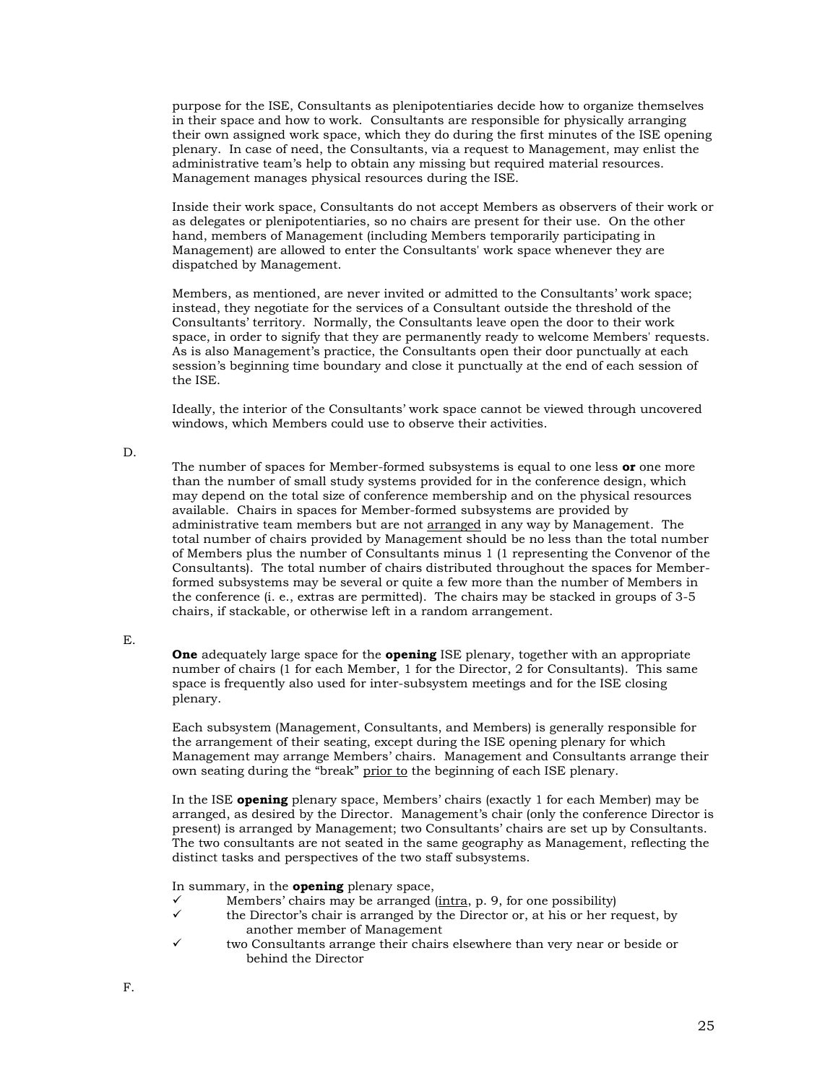purpose for the ISE, Consultants as plenipotentiaries decide how to organize themselves in their space and how to work. Consultants are responsible for physically arranging their own assigned work space, which they do during the first minutes of the ISE opening plenary. In case of need, the Consultants, via a request to Management, may enlist the administrative team's help to obtain any missing but required material resources. Management manages physical resources during the ISE.

Inside their work space, Consultants do not accept Members as observers of their work or as delegates or plenipotentiaries, so no chairs are present for their use. On the other hand, members of Management (including Members temporarily participating in Management) are allowed to enter the Consultants' work space whenever they are dispatched by Management.

Members, as mentioned, are never invited or admitted to the Consultants' work space; instead, they negotiate for the services of a Consultant outside the threshold of the Consultants' territory. Normally, the Consultants leave open the door to their work space, in order to signify that they are permanently ready to welcome Members' requests. As is also Management's practice, the Consultants open their door punctually at each session's beginning time boundary and close it punctually at the end of each session of the ISE.

Ideally, the interior of the Consultants' work space cannot be viewed through uncovered windows, which Members could use to observe their activities.

### D.

The number of spaces for Member-formed subsystems is equal to one less **or** one more than the number of small study systems provided for in the conference design, which may depend on the total size of conference membership and on the physical resources available. Chairs in spaces for Member-formed subsystems are provided by administrative team members but are not arranged in any way by Management. The total number of chairs provided by Management should be no less than the total number of Members plus the number of Consultants minus 1 (1 representing the Convenor of the Consultants). The total number of chairs distributed throughout the spaces for Memberformed subsystems may be several or quite a few more than the number of Members in the conference (i. e., extras are permitted). The chairs may be stacked in groups of 3-5 chairs, if stackable, or otherwise left in a random arrangement.

### E.

**One** adequately large space for the **opening** ISE plenary, together with an appropriate number of chairs (1 for each Member, 1 for the Director, 2 for Consultants). This same space is frequently also used for inter-subsystem meetings and for the ISE closing plenary.

Each subsystem (Management, Consultants, and Members) is generally responsible for the arrangement of their seating, except during the ISE opening plenary for which Management may arrange Members' chairs. Management and Consultants arrange their own seating during the "break" prior to the beginning of each ISE plenary.

In the ISE **opening** plenary space, Members' chairs (exactly 1 for each Member) may be arranged, as desired by the Director. Management's chair (only the conference Director is present) is arranged by Management; two Consultants' chairs are set up by Consultants. The two consultants are not seated in the same geography as Management, reflecting the distinct tasks and perspectives of the two staff subsystems.

In summary, in the **opening** plenary space,

- $\checkmark$  Members' chairs may be arranged (<u>intra</u>, p. 9, for one possibility)  $\checkmark$  the Director's chair is arranged by the Director or, at his or her re-
- the Director's chair is arranged by the Director or, at his or her request, by another member of Management
- ✓ two Consultants arrange their chairs elsewhere than very near or beside or behind the Director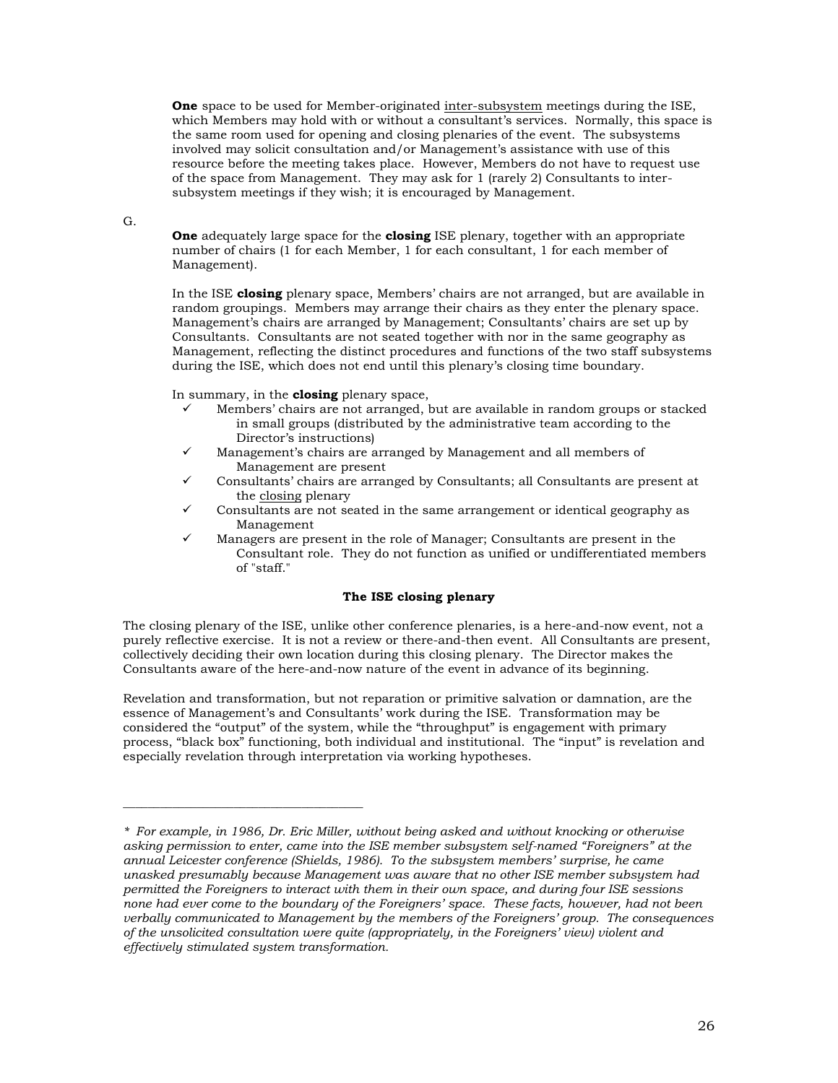**One** space to be used for Member-originated inter-subsystem meetings during the ISE, which Members may hold with or without a consultant's services. Normally, this space is the same room used for opening and closing plenaries of the event. The subsystems involved may solicit consultation and/or Management's assistance with use of this resource before the meeting takes place. However, Members do not have to request use of the space from Management. They may ask for 1 (rarely 2) Consultants to intersubsystem meetings if they wish; it is encouraged by Management.

### G.

**One** adequately large space for the **closing** ISE plenary, together with an appropriate number of chairs (1 for each Member, 1 for each consultant, 1 for each member of Management).

In the ISE **closing** plenary space, Members' chairs are not arranged, but are available in random groupings. Members may arrange their chairs as they enter the plenary space. Management's chairs are arranged by Management; Consultants' chairs are set up by Consultants. Consultants are not seated together with nor in the same geography as Management, reflecting the distinct procedures and functions of the two staff subsystems during the ISE, which does not end until this plenary's closing time boundary.

In summary, in the **closing** plenary space,

\_\_\_\_\_\_\_\_\_\_\_\_\_\_\_\_\_\_\_\_\_\_\_\_\_\_\_\_\_\_\_\_\_\_\_\_\_\_\_

- Members' chairs are not arranged, but are available in random groups or stacked in small groups (distributed by the administrative team according to the Director's instructions)
- Management's chairs are arranged by Management and all members of Management are present
- ✓ Consultants' chairs are arranged by Consultants; all Consultants are present at the closing plenary
- Consultants are not seated in the same arrangement or identical geography as Management
- Managers are present in the role of Manager; Consultants are present in the Consultant role. They do not function as unified or undifferentiated members of "staff."

### **The ISE closing plenary**

The closing plenary of the ISE, unlike other conference plenaries, is a here-and-now event, not a purely reflective exercise. It is not a review or there-and-then event. All Consultants are present, collectively deciding their own location during this closing plenary. The Director makes the Consultants aware of the here-and-now nature of the event in advance of its beginning.

Revelation and transformation, but not reparation or primitive salvation or damnation, are the essence of Management's and Consultants' work during the ISE. Transformation may be considered the "output" of the system, while the "throughput" is engagement with primary process, "black box" functioning, both individual and institutional. The "input" is revelation and especially revelation through interpretation via working hypotheses.

*<sup>\*</sup> For example, in 1986, Dr. Eric Miller, without being asked and without knocking or otherwise asking permission to enter, came into the ISE member subsystem self-named "Foreigners" at the annual Leicester conference (Shields, 1986). To the subsystem members' surprise, he came unasked presumably because Management was aware that no other ISE member subsystem had permitted the Foreigners to interact with them in their own space, and during four ISE sessions none had ever come to the boundary of the Foreigners' space. These facts, however, had not been verbally communicated to Management by the members of the Foreigners' group. The consequences of the unsolicited consultation were quite (appropriately, in the Foreigners' view) violent and effectively stimulated system transformation.*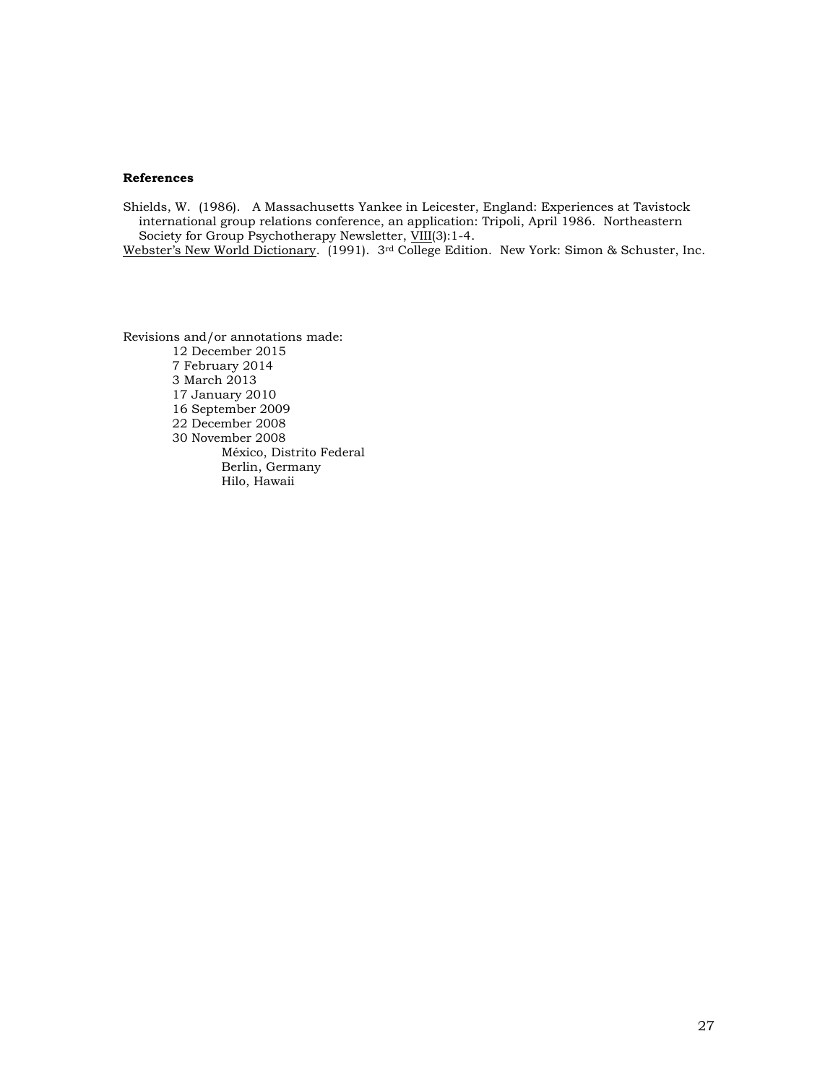### **References**

Shields, W. (1986). A Massachusetts Yankee in Leicester, England: Experiences at Tavistock international group relations conference, an application: Tripoli, April 1986. Northeastern Society for Group Psychotherapy Newsletter, VIII(3):1-4.

Webster's New World Dictionary. (1991). 3rd College Edition. New York: Simon & Schuster, Inc.

Revisions and/or annotations made: 12 December 2015 7 February 2014 3 March 2013 17 January 2010 16 September 2009 22 December 2008 30 November 2008 México, Distrito Federal Berlin, Germany Hilo, Hawaii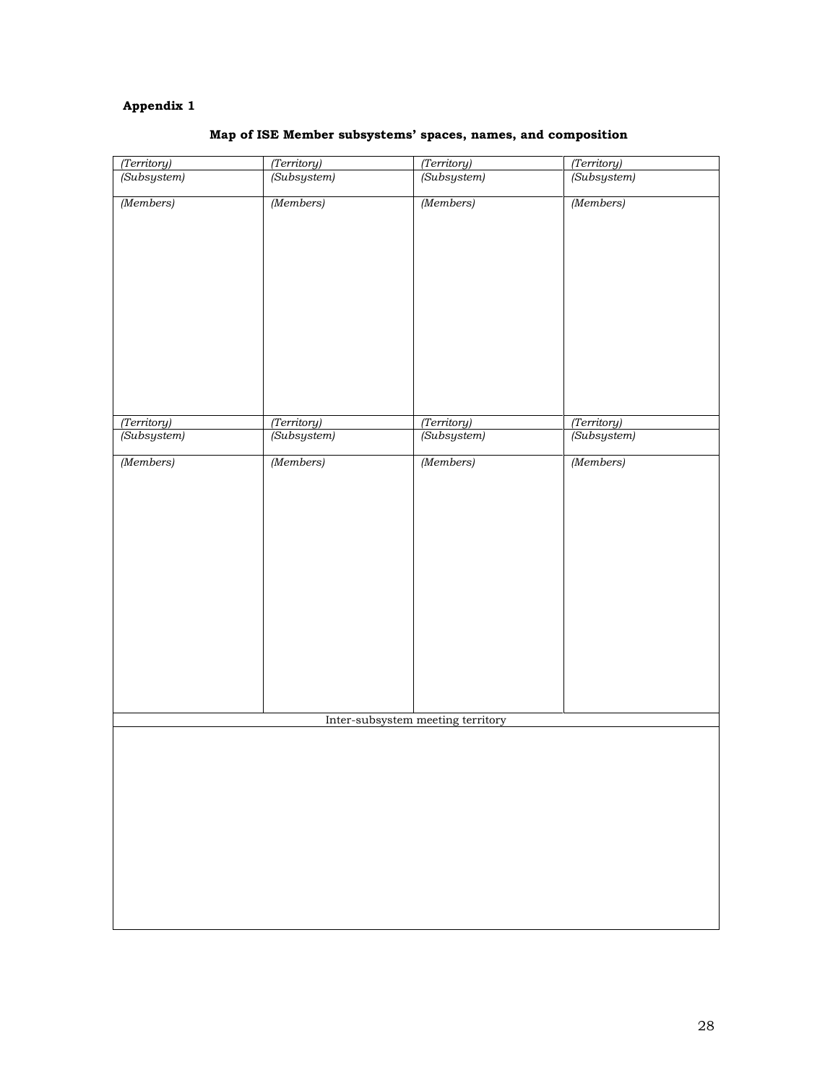# **Appendix 1**

| (Territory)                       | (Territory)                | (Territory)                | (Territory)                |  |  |  |  |
|-----------------------------------|----------------------------|----------------------------|----------------------------|--|--|--|--|
| (Subsystem)                       | (Subsystem)                | (Subsystem)                | (Subsystem)                |  |  |  |  |
| (Members)                         | (Members)                  | (Members)                  | (Members)                  |  |  |  |  |
|                                   |                            |                            |                            |  |  |  |  |
| (Territory)<br>(Subsystem)        | (Territory)<br>(Subsystem) | (Territory)<br>(Subsystem) | (Territory)<br>(Subsystem) |  |  |  |  |
|                                   |                            |                            |                            |  |  |  |  |
| (Members)                         | (Members)                  | (Members)                  | (Members)                  |  |  |  |  |
| Inter-subsystem meeting territory |                            |                            |                            |  |  |  |  |
|                                   |                            |                            |                            |  |  |  |  |

# **Map of ISE Member subsystems' spaces, names, and composition**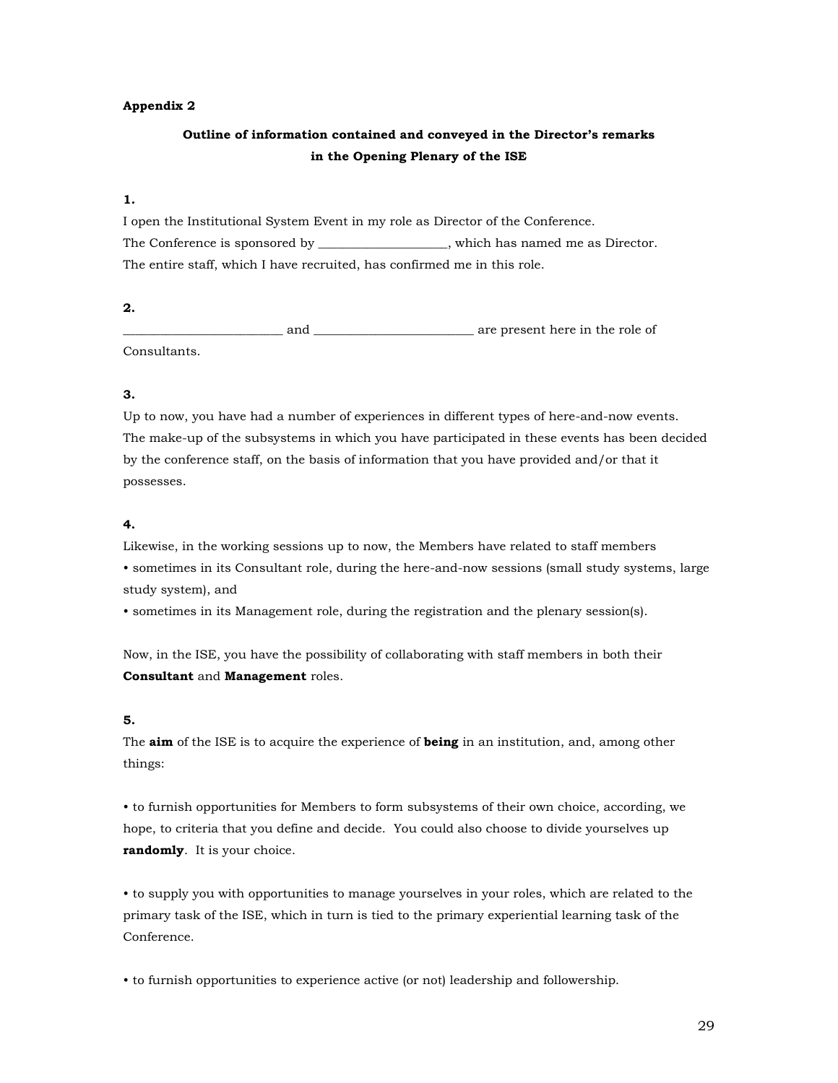### **Appendix 2**

# **Outline of information contained and conveyed in the Director's remarks in the Opening Plenary of the ISE**

### **1.**

I open the Institutional System Event in my role as Director of the Conference. The Conference is sponsored by which has named me as Director. The entire staff, which I have recruited, has confirmed me in this role.

### **2.**

\_\_\_\_\_\_\_\_\_\_\_\_\_\_\_\_\_\_\_\_\_\_\_\_\_\_ and \_\_\_\_\_\_\_\_\_\_\_\_\_\_\_\_\_\_\_\_\_\_\_\_\_\_ are present here in the role of Consultants.

## **3.**

Up to now, you have had a number of experiences in different types of here-and-now events. The make-up of the subsystems in which you have participated in these events has been decided by the conference staff, on the basis of information that you have provided and/or that it possesses.

### **4.**

Likewise, in the working sessions up to now, the Members have related to staff members • sometimes in its Consultant role, during the here-and-now sessions (small study systems, large study system), and

• sometimes in its Management role, during the registration and the plenary session(s).

Now, in the ISE, you have the possibility of collaborating with staff members in both their **Consultant** and **Management** roles.

### **5.**

The **aim** of the ISE is to acquire the experience of **being** in an institution, and, among other things:

• to furnish opportunities for Members to form subsystems of their own choice, according, we hope, to criteria that you define and decide. You could also choose to divide yourselves up **randomly**. It is your choice.

• to supply you with opportunities to manage yourselves in your roles, which are related to the primary task of the ISE, which in turn is tied to the primary experiential learning task of the Conference.

• to furnish opportunities to experience active (or not) leadership and followership.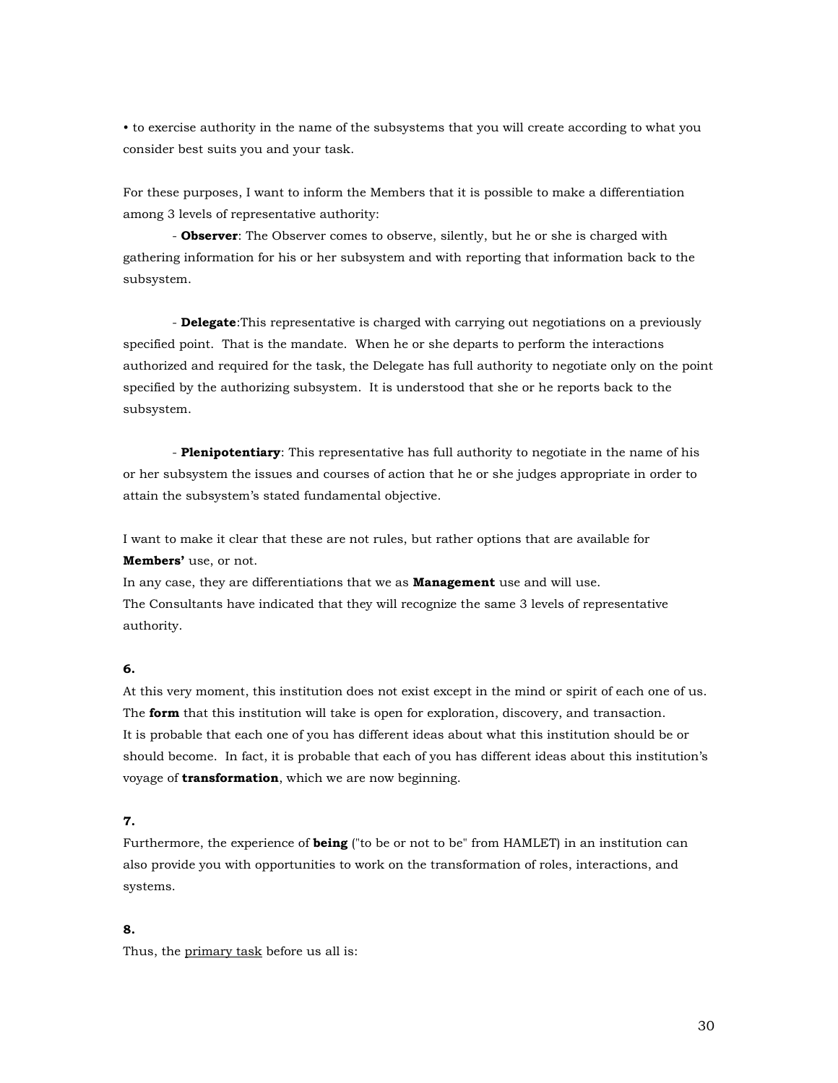• to exercise authority in the name of the subsystems that you will create according to what you consider best suits you and your task.

For these purposes, I want to inform the Members that it is possible to make a differentiation among 3 levels of representative authority:

- **Observer**: The Observer comes to observe, silently, but he or she is charged with gathering information for his or her subsystem and with reporting that information back to the subsystem.

- **Delegate**:This representative is charged with carrying out negotiations on a previously specified point. That is the mandate. When he or she departs to perform the interactions authorized and required for the task, the Delegate has full authority to negotiate only on the point specified by the authorizing subsystem. It is understood that she or he reports back to the subsystem.

- **Plenipotentiary**: This representative has full authority to negotiate in the name of his or her subsystem the issues and courses of action that he or she judges appropriate in order to attain the subsystem's stated fundamental objective.

I want to make it clear that these are not rules, but rather options that are available for **Members'** use, or not.

In any case, they are differentiations that we as **Management** use and will use. The Consultants have indicated that they will recognize the same 3 levels of representative authority.

### **6.**

At this very moment, this institution does not exist except in the mind or spirit of each one of us. The **form** that this institution will take is open for exploration, discovery, and transaction. It is probable that each one of you has different ideas about what this institution should be or should become. In fact, it is probable that each of you has different ideas about this institution's voyage of **transformation**, which we are now beginning.

# **7.**

Furthermore, the experience of **being** ("to be or not to be" from HAMLET) in an institution can also provide you with opportunities to work on the transformation of roles, interactions, and systems.

## **8.**

Thus, the primary task before us all is: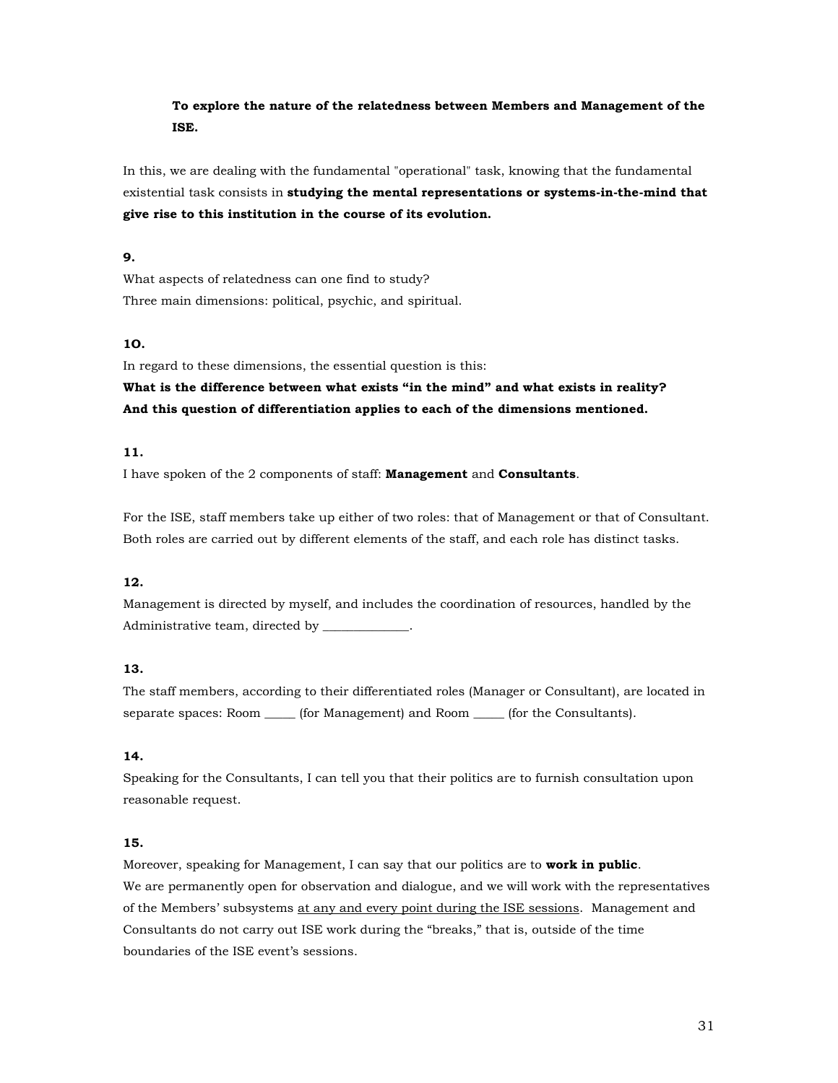# **To explore the nature of the relatedness between Members and Management of the ISE.**

In this, we are dealing with the fundamental "operational" task, knowing that the fundamental existential task consists in **studying the mental representations or systems-in-the-mind that give rise to this institution in the course of its evolution.**

## **9.**

What aspects of relatedness can one find to study? Three main dimensions: political, psychic, and spiritual.

## **1O.**

In regard to these dimensions, the essential question is this:

**What is the difference between what exists "in the mind" and what exists in reality? And this question of differentiation applies to each of the dimensions mentioned.**

# **11.**

I have spoken of the 2 components of staff: **Management** and **Consultants**.

For the ISE, staff members take up either of two roles: that of Management or that of Consultant. Both roles are carried out by different elements of the staff, and each role has distinct tasks.

# **12.**

Management is directed by myself, and includes the coordination of resources, handled by the Administrative team, directed by \_\_\_\_\_\_\_\_\_\_\_\_\_\_.

# **13.**

The staff members, according to their differentiated roles (Manager or Consultant), are located in separate spaces: Room \_\_\_\_\_\_ (for Management) and Room \_\_\_\_\_\_ (for the Consultants).

### **14.**

Speaking for the Consultants, I can tell you that their politics are to furnish consultation upon reasonable request.

## **15.**

Moreover, speaking for Management, I can say that our politics are to **work in public**. We are permanently open for observation and dialogue, and we will work with the representatives of the Members' subsystems at any and every point during the ISE sessions. Management and Consultants do not carry out ISE work during the "breaks," that is, outside of the time boundaries of the ISE event's sessions.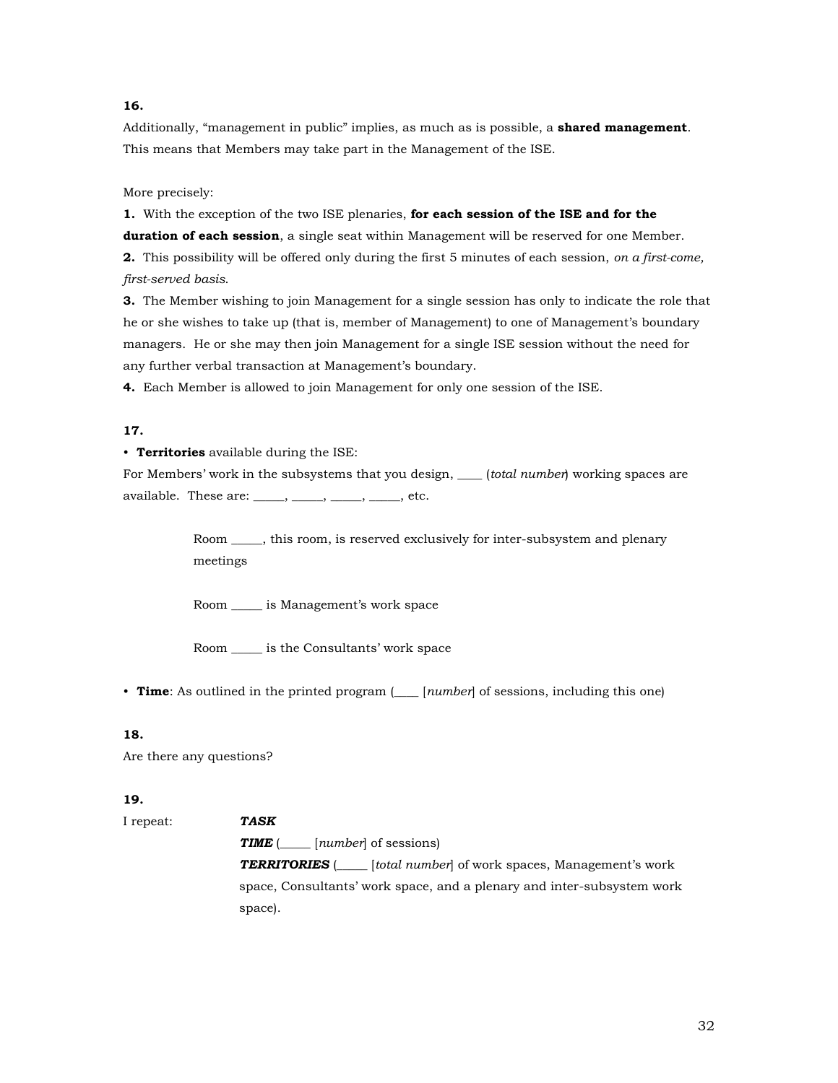## **16.**

Additionally, "management in public" implies, as much as is possible, a **shared management**. This means that Members may take part in the Management of the ISE.

More precisely:

**1.** With the exception of the two ISE plenaries, **for each session of the ISE and for the duration of each session**, a single seat within Management will be reserved for one Member. **2.** This possibility will be offered only during the first 5 minutes of each session, *on a first-come, first-served basis*.

**3.** The Member wishing to join Management for a single session has only to indicate the role that he or she wishes to take up (that is, member of Management) to one of Management's boundary managers. He or she may then join Management for a single ISE session without the need for any further verbal transaction at Management's boundary.

**4.** Each Member is allowed to join Management for only one session of the ISE.

### **17.**

### • **Territories** available during the ISE:

For Members' work in the subsystems that you design, \_\_\_\_ (*total number*) working spaces are available. These are: \_\_\_\_\_, \_\_\_\_\_, \_\_\_\_\_, etc.

> Room \_\_\_\_\_, this room, is reserved exclusively for inter-subsystem and plenary meetings

Room \_\_\_\_\_ is Management's work space

Room \_\_\_\_\_ is the Consultants' work space

• **Time**: As outlined in the printed program (*\_\_\_* [*number*] of sessions, including this one)

### **18.**

Are there any questions?

### **19.**

I repeat: *TASK TIME* (\_\_\_\_\_ [*number*] of sessions) *TERRITORIES* (\_\_\_\_\_ [*total number*] of work spaces, Management's work space, Consultants' work space, and a plenary and inter-subsystem work space).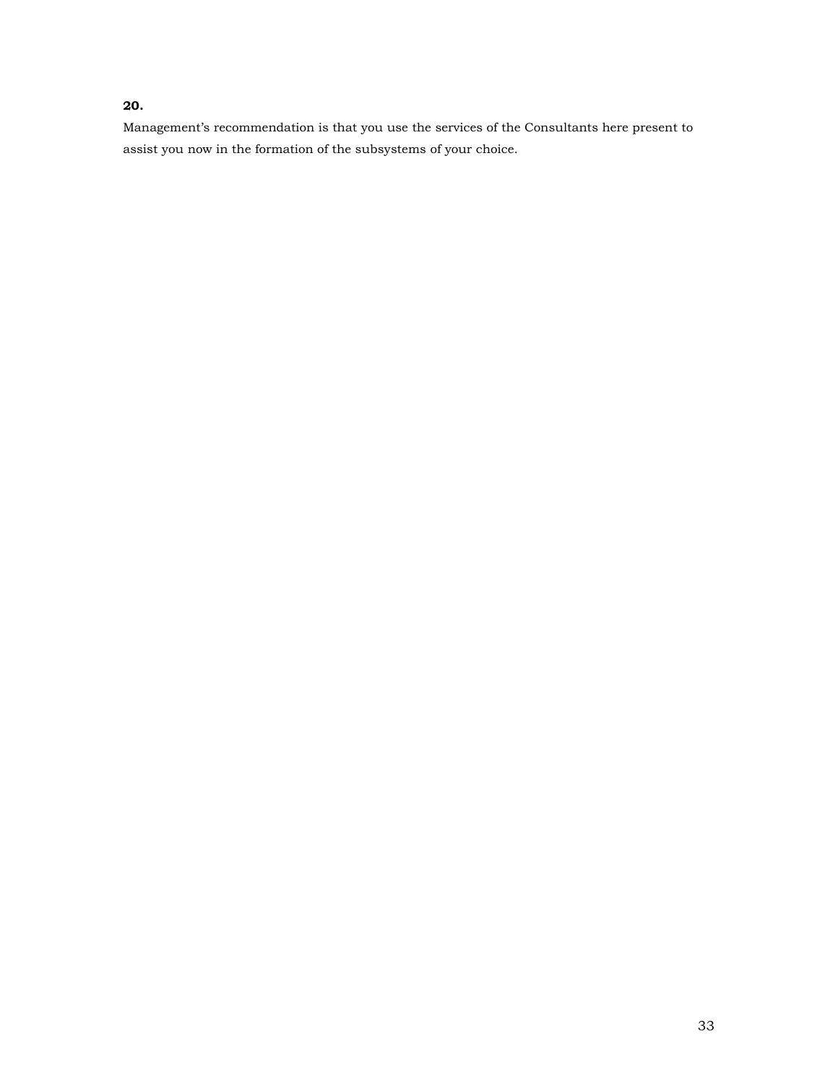# **20.**

Management's recommendation is that you use the services of the Consultants here present to assist you now in the formation of the subsystems of your choice.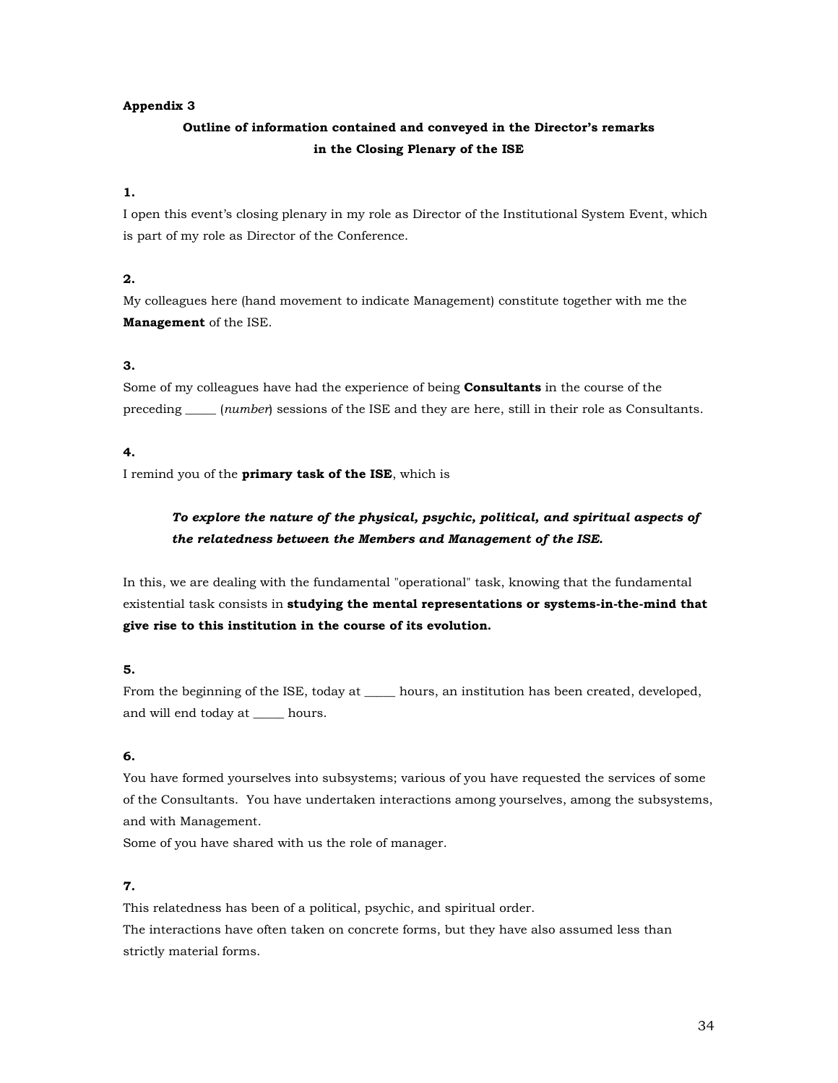### **Appendix 3**

# **Outline of information contained and conveyed in the Director's remarks in the Closing Plenary of the ISE**

### **1.**

I open this event's closing plenary in my role as Director of the Institutional System Event, which is part of my role as Director of the Conference.

# **2.**

My colleagues here (hand movement to indicate Management) constitute together with me the **Management** of the ISE.

## **3.**

Some of my colleagues have had the experience of being **Consultants** in the course of the preceding \_\_\_\_\_ (*number*) sessions of the ISE and they are here, still in their role as Consultants.

## **4.**

I remind you of the **primary task of the ISE**, which is

# *To explore the nature of the physical, psychic, political, and spiritual aspects of the relatedness between the Members and Management of the ISE.*

In this, we are dealing with the fundamental "operational" task, knowing that the fundamental existential task consists in **studying the mental representations or systems-in-the-mind that give rise to this institution in the course of its evolution.**

# **5.**

From the beginning of the ISE, today at \_\_\_\_\_ hours, an institution has been created, developed, and will end today at \_\_\_\_\_ hours.

### **6.**

You have formed yourselves into subsystems; various of you have requested the services of some of the Consultants. You have undertaken interactions among yourselves, among the subsystems, and with Management.

Some of you have shared with us the role of manager.

# **7.**

This relatedness has been of a political, psychic, and spiritual order. The interactions have often taken on concrete forms, but they have also assumed less than strictly material forms.